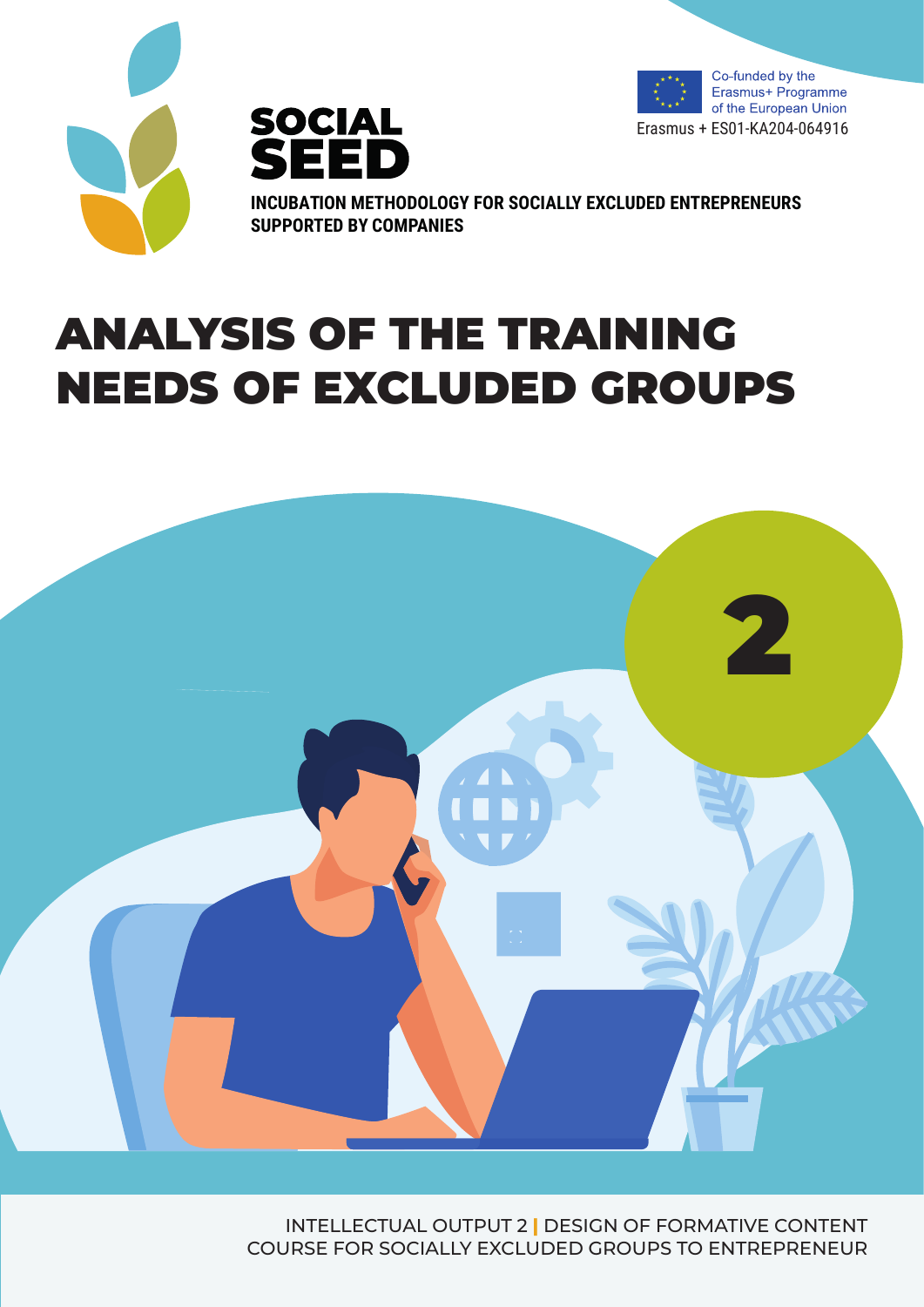





**INCUBATION METHODOLOGY FOR SOCIALLY EXCLUDED ENTREPRENEURS SUPPORTED BY COMPANIES**

# ANALYSIS OF THE TRAINING NEEDS OF EXCLUDED GROUPS



INTELLECTUAL OUTPUT 2 **|** DESIGN OF FORMATIVE CONTENT COURSE FOR SOCIALLY EXCLUDED GROUPS TO ENTREPRENEUR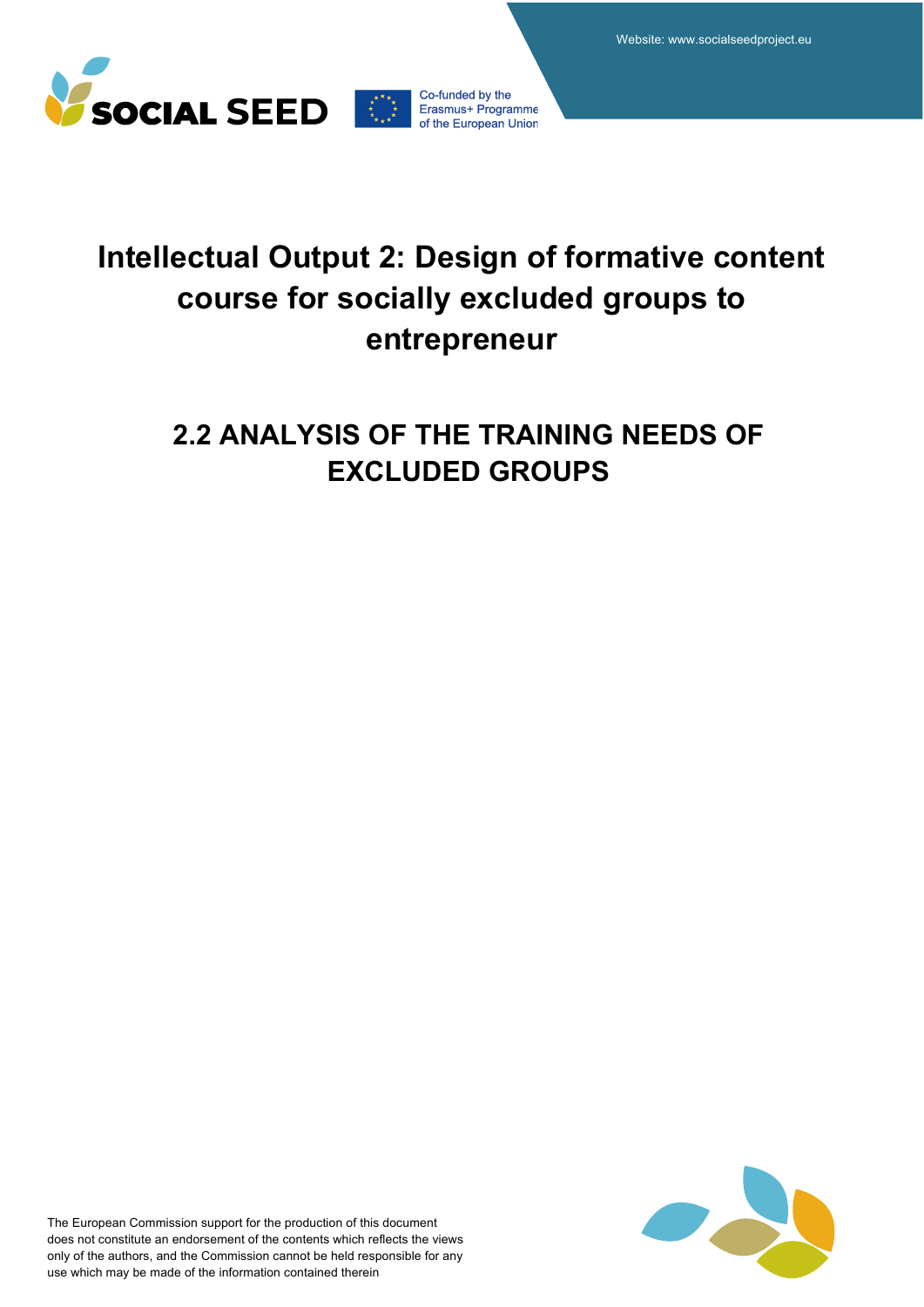



# **Intellectual Output 2: Design of formative content course for socially excluded groups to entrepreneur**

# **2.2 ANALYSIS OF THE TRAINING NEEDS OF EXCLUDED GROUPS**

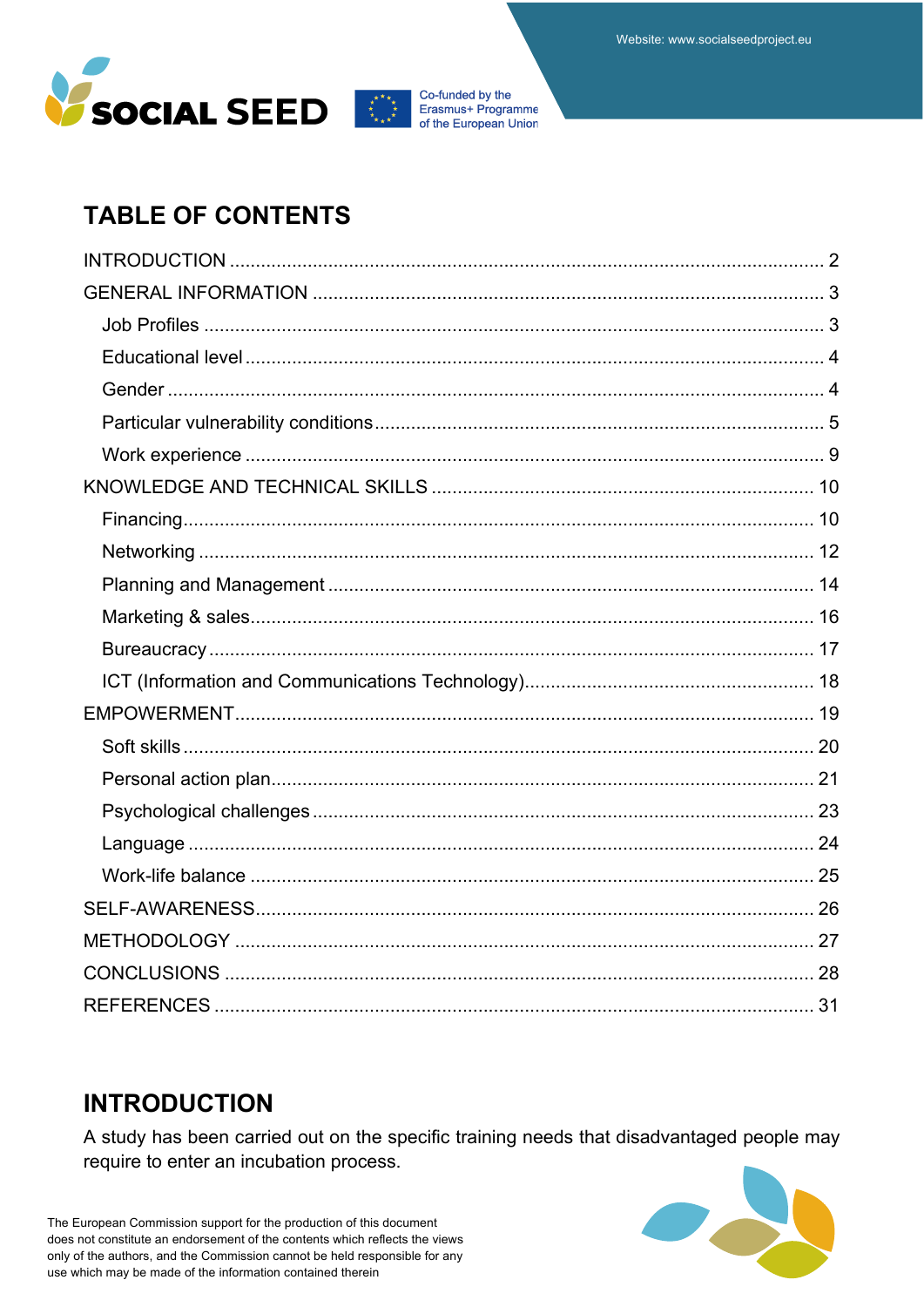



## **TABLE OF CONTENTS**

### **INTRODUCTION**

A study has been carried out on the specific training needs that disadvantaged people may require to enter an incubation process.

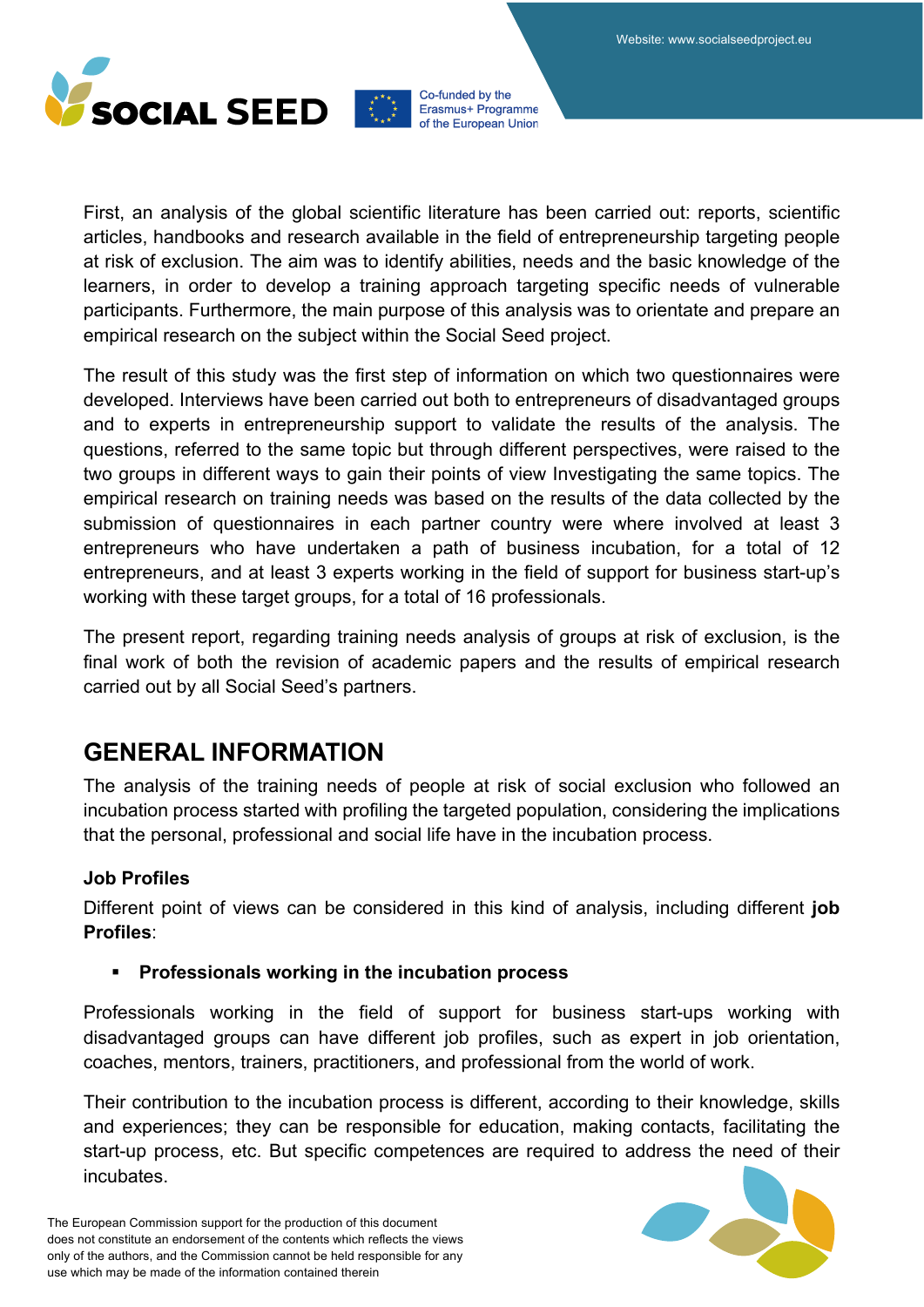



First, an analysis of the global scientific literature has been carried out: reports, scientific articles, handbooks and research available in the field of entrepreneurship targeting people at risk of exclusion. The aim was to identify abilities, needs and the basic knowledge of the learners, in order to develop a training approach targeting specific needs of vulnerable participants. Furthermore, the main purpose of this analysis was to orientate and prepare an empirical research on the subject within the Social Seed project.

The result of this study was the first step of information on which two questionnaires were developed. Interviews have been carried out both to entrepreneurs of disadvantaged groups and to experts in entrepreneurship support to validate the results of the analysis. The questions, referred to the same topic but through different perspectives, were raised to the two groups in different ways to gain their points of view Investigating the same topics. The empirical research on training needs was based on the results of the data collected by the submission of questionnaires in each partner country were where involved at least 3 entrepreneurs who have undertaken a path of business incubation, for a total of 12 entrepreneurs, and at least 3 experts working in the field of support for business start-up's working with these target groups, for a total of 16 professionals.

The present report, regarding training needs analysis of groups at risk of exclusion, is the final work of both the revision of academic papers and the results of empirical research carried out by all Social Seed's partners.

### **GENERAL INFORMATION**

The analysis of the training needs of people at risk of social exclusion who followed an incubation process started with profiling the targeted population, considering the implications that the personal, professional and social life have in the incubation process.

### **Job Profiles**

Different point of views can be considered in this kind of analysis, including different **job Profiles**:

### § **Professionals working in the incubation process**

Professionals working in the field of support for business start-ups working with disadvantaged groups can have different job profiles, such as expert in job orientation, coaches, mentors, trainers, practitioners, and professional from the world of work.

Their contribution to the incubation process is different, according to their knowledge, skills and experiences; they can be responsible for education, making contacts, facilitating the start-up process, etc. But specific competences are required to address the need of their incubates.

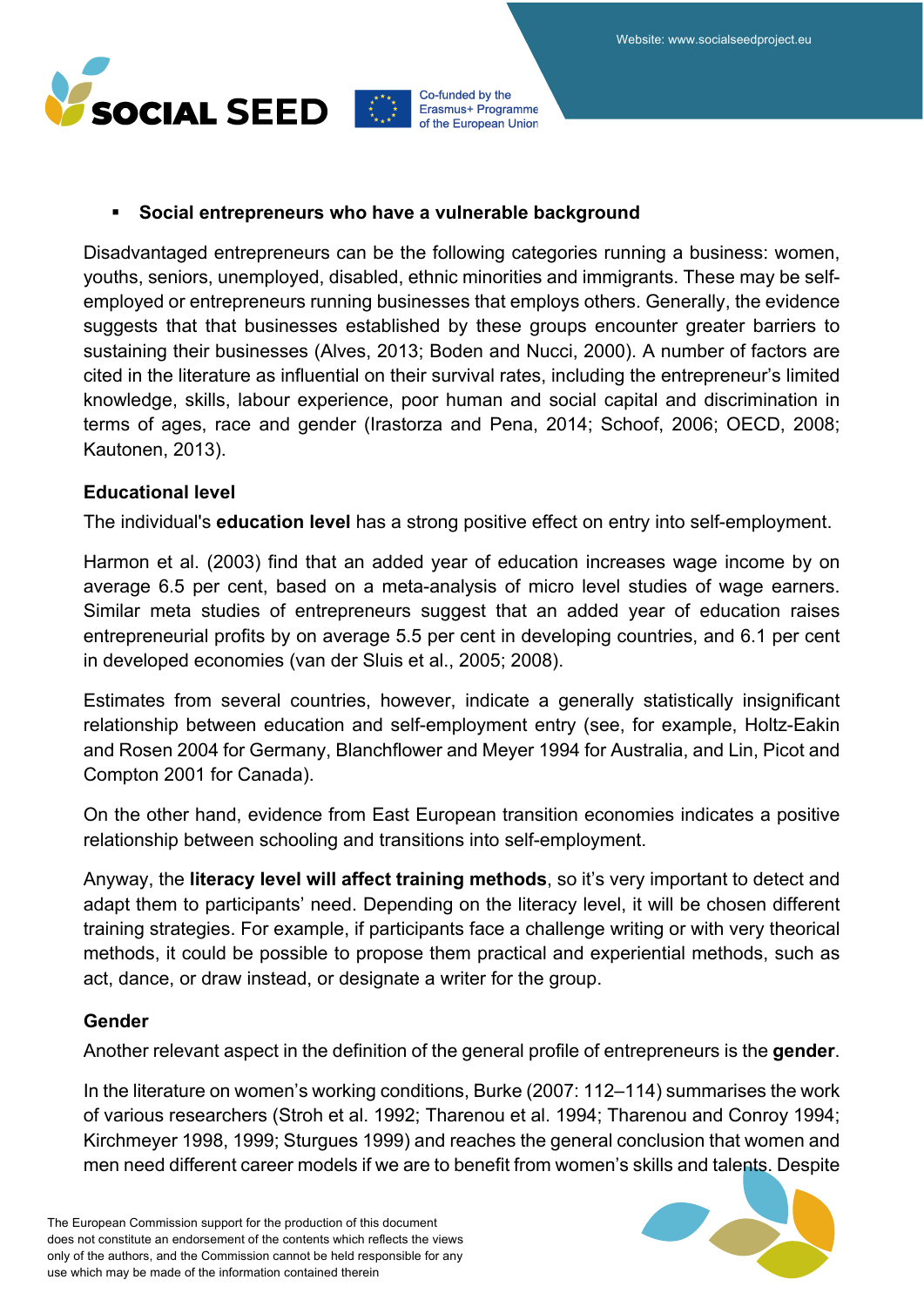

#### § **Social entrepreneurs who have a vulnerable background**

Disadvantaged entrepreneurs can be the following categories running a business: women, youths, seniors, unemployed, disabled, ethnic minorities and immigrants. These may be selfemployed or entrepreneurs running businesses that employs others. Generally, the evidence suggests that that businesses established by these groups encounter greater barriers to sustaining their businesses (Alves, 2013; Boden and Nucci, 2000). A number of factors are cited in the literature as influential on their survival rates, including the entrepreneur's limited knowledge, skills, labour experience, poor human and social capital and discrimination in terms of ages, race and gender (Irastorza and Pena, 2014; Schoof, 2006; OECD, 2008; Kautonen, 2013).

### **Educational level**

The individual's **education level** has a strong positive effect on entry into self-employment.

Harmon et al. (2003) find that an added year of education increases wage income by on average 6.5 per cent, based on a meta-analysis of micro level studies of wage earners. Similar meta studies of entrepreneurs suggest that an added year of education raises entrepreneurial profits by on average 5.5 per cent in developing countries, and 6.1 per cent in developed economies (van der Sluis et al., 2005; 2008).

Estimates from several countries, however, indicate a generally statistically insignificant relationship between education and self-employment entry (see, for example, Holtz-Eakin and Rosen 2004 for Germany, Blanchflower and Meyer 1994 for Australia, and Lin, Picot and Compton 2001 for Canada).

On the other hand, evidence from East European transition economies indicates a positive relationship between schooling and transitions into self-employment.

Anyway, the **literacy level will affect training methods**, so it's very important to detect and adapt them to participants' need. Depending on the literacy level, it will be chosen different training strategies. For example, if participants face a challenge writing or with very theorical methods, it could be possible to propose them practical and experiential methods, such as act, dance, or draw instead, or designate a writer for the group.

### **Gender**

Another relevant aspect in the definition of the general profile of entrepreneurs is the **gender**.

In the literature on women's working conditions, Burke (2007: 112–114) summarises the work of various researchers (Stroh et al. 1992; Tharenou et al. 1994; Tharenou and Conroy 1994; Kirchmeyer 1998, 1999; Sturgues 1999) and reaches the general conclusion that women and men need different career models if we are to benefit from women's skills and talents. Despite

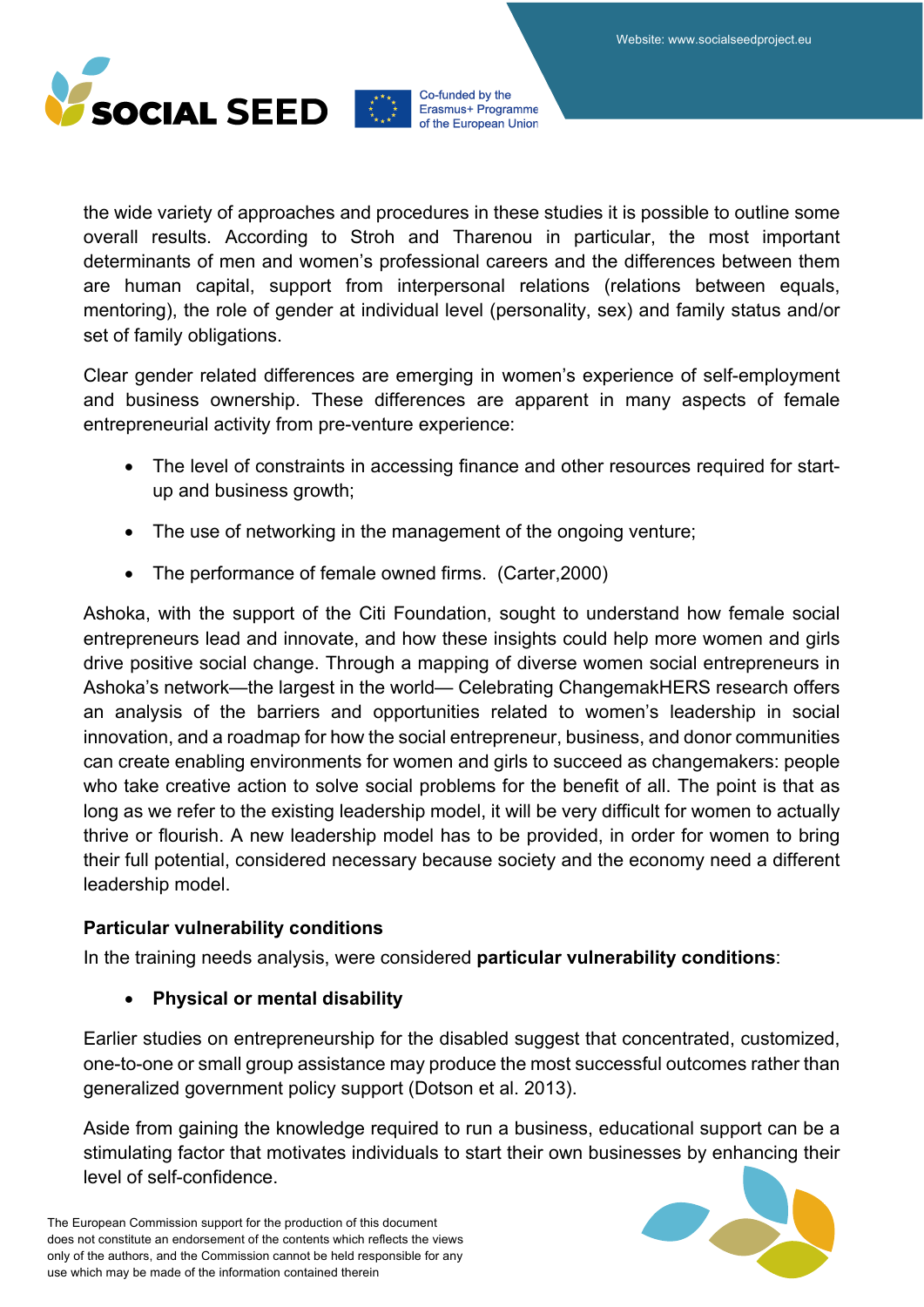



the wide variety of approaches and procedures in these studies it is possible to outline some overall results. According to Stroh and Tharenou in particular, the most important determinants of men and women's professional careers and the differences between them are human capital, support from interpersonal relations (relations between equals, mentoring), the role of gender at individual level (personality, sex) and family status and/or set of family obligations.

Clear gender related differences are emerging in women's experience of self-employment and business ownership. These differences are apparent in many aspects of female entrepreneurial activity from pre-venture experience:

- The level of constraints in accessing finance and other resources required for startup and business growth;
- The use of networking in the management of the ongoing venture;
- The performance of female owned firms. (Carter,2000)

Ashoka, with the support of the Citi Foundation, sought to understand how female social entrepreneurs lead and innovate, and how these insights could help more women and girls drive positive social change. Through a mapping of diverse women social entrepreneurs in Ashoka's network—the largest in the world— Celebrating ChangemakHERS research offers an analysis of the barriers and opportunities related to women's leadership in social innovation, and a roadmap for how the social entrepreneur, business, and donor communities can create enabling environments for women and girls to succeed as changemakers: people who take creative action to solve social problems for the benefit of all. The point is that as long as we refer to the existing leadership model, it will be very difficult for women to actually thrive or flourish. A new leadership model has to be provided, in order for women to bring their full potential, considered necessary because society and the economy need a different leadership model.

### **Particular vulnerability conditions**

In the training needs analysis, were considered **particular vulnerability conditions**:

### • **Physical or mental disability**

Earlier studies on entrepreneurship for the disabled suggest that concentrated, customized, one-to-one or small group assistance may produce the most successful outcomes rather than generalized government policy support (Dotson et al. 2013).

Aside from gaining the knowledge required to run a business, educational support can be a stimulating factor that motivates individuals to start their own businesses by enhancing their level of self-confidence.

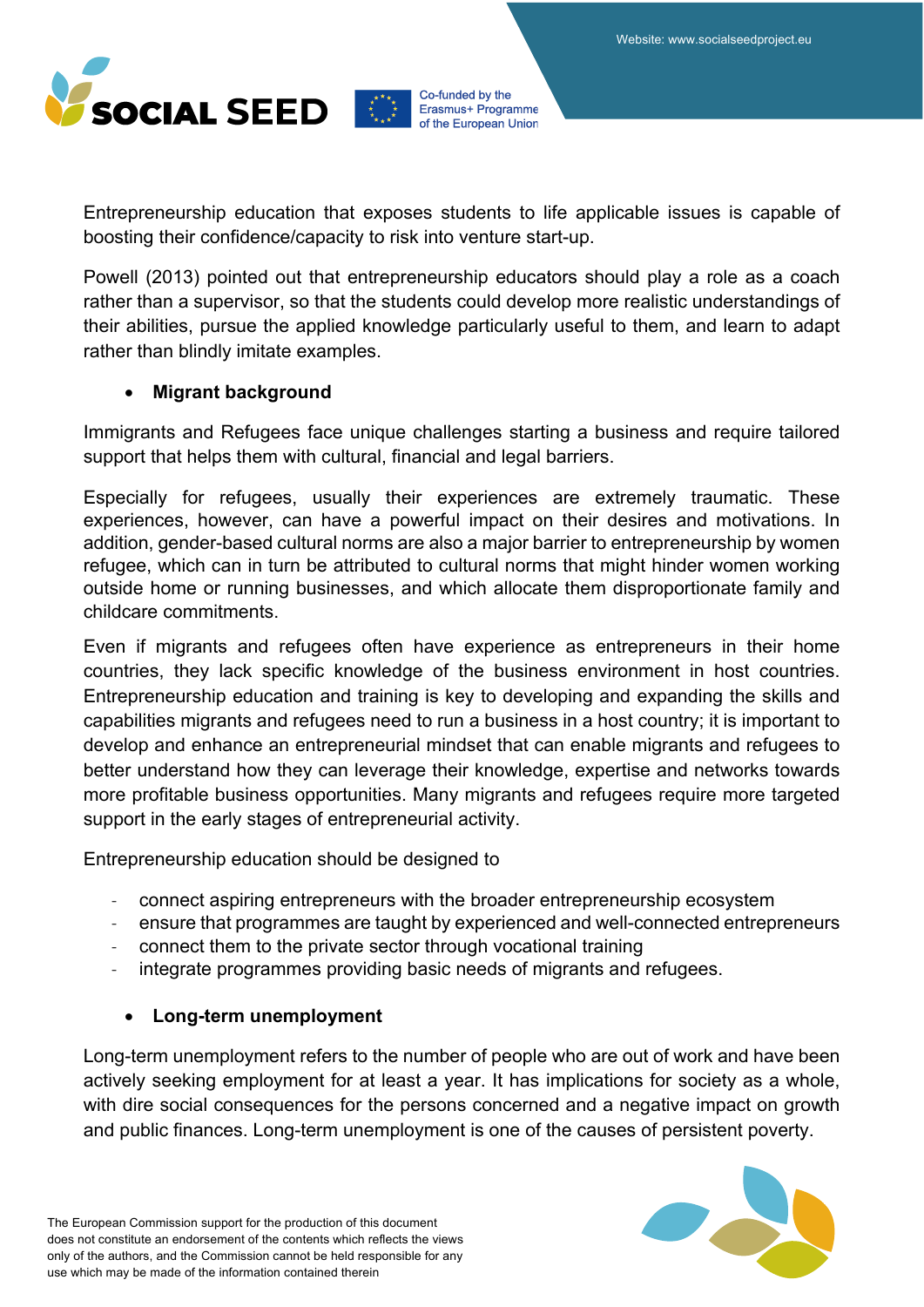

Entrepreneurship education that exposes students to life applicable issues is capable of boosting their confidence/capacity to risk into venture start-up.

Powell (2013) pointed out that entrepreneurship educators should play a role as a coach rather than a supervisor, so that the students could develop more realistic understandings of their abilities, pursue the applied knowledge particularly useful to them, and learn to adapt rather than blindly imitate examples.

### • **Migrant background**

Immigrants and Refugees face unique challenges starting a business and require tailored support that helps them with cultural, financial and legal barriers.

Especially for refugees, usually their experiences are extremely traumatic. These experiences, however, can have a powerful impact on their desires and motivations. In addition, gender-based cultural norms are also a major barrier to entrepreneurship by women refugee, which can in turn be attributed to cultural norms that might hinder women working outside home or running businesses, and which allocate them disproportionate family and childcare commitments.

Even if migrants and refugees often have experience as entrepreneurs in their home countries, they lack specific knowledge of the business environment in host countries. Entrepreneurship education and training is key to developing and expanding the skills and capabilities migrants and refugees need to run a business in a host country; it is important to develop and enhance an entrepreneurial mindset that can enable migrants and refugees to better understand how they can leverage their knowledge, expertise and networks towards more profitable business opportunities. Many migrants and refugees require more targeted support in the early stages of entrepreneurial activity.

Entrepreneurship education should be designed to

- connect aspiring entrepreneurs with the broader entrepreneurship ecosystem
- ensure that programmes are taught by experienced and well-connected entrepreneurs
- connect them to the private sector through vocational training
- integrate programmes providing basic needs of migrants and refugees.

### • **Long-term unemployment**

Long-term unemployment refers to the number of people who are out of work and have been actively seeking employment for at least a year. It has implications for society as a whole, with dire social consequences for the persons concerned and a negative impact on growth and public finances. Long-term unemployment is one of the causes of persistent poverty.

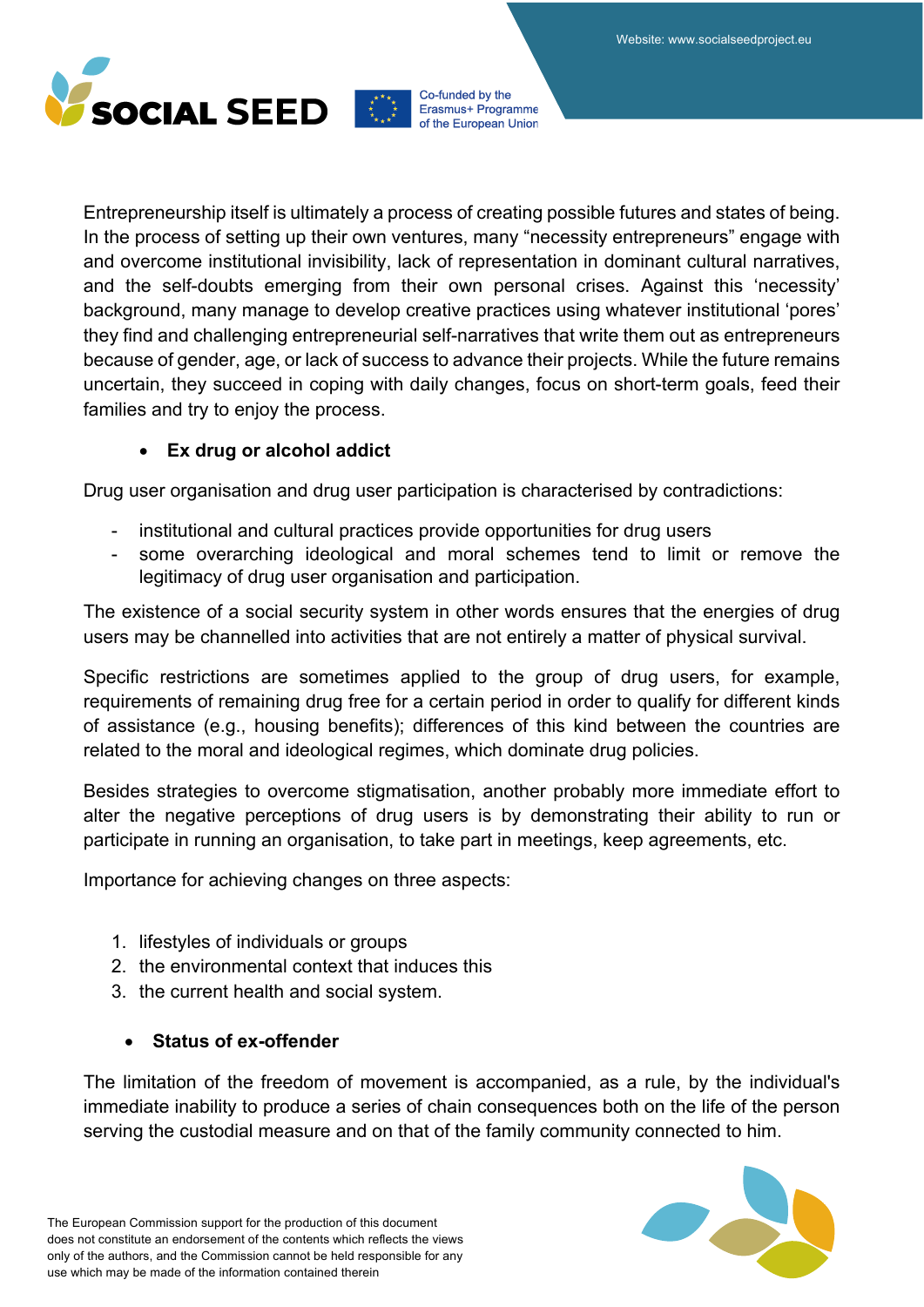

Entrepreneurship itself is ultimately a process of creating possible futures and states of being. In the process of setting up their own ventures, many "necessity entrepreneurs" engage with and overcome institutional invisibility, lack of representation in dominant cultural narratives, and the self-doubts emerging from their own personal crises. Against this 'necessity' background, many manage to develop creative practices using whatever institutional 'pores' they find and challenging entrepreneurial self-narratives that write them out as entrepreneurs because of gender, age, or lack of success to advance their projects. While the future remains uncertain, they succeed in coping with daily changes, focus on short-term goals, feed their families and try to enjoy the process.

### • **Ex drug or alcohol addict**

Drug user organisation and drug user participation is characterised by contradictions:

- institutional and cultural practices provide opportunities for drug users
- some overarching ideological and moral schemes tend to limit or remove the legitimacy of drug user organisation and participation.

The existence of a social security system in other words ensures that the energies of drug users may be channelled into activities that are not entirely a matter of physical survival.

Specific restrictions are sometimes applied to the group of drug users, for example, requirements of remaining drug free for a certain period in order to qualify for different kinds of assistance (e.g., housing benefits); differences of this kind between the countries are related to the moral and ideological regimes, which dominate drug policies.

Besides strategies to overcome stigmatisation, another probably more immediate effort to alter the negative perceptions of drug users is by demonstrating their ability to run or participate in running an organisation, to take part in meetings, keep agreements, etc.

Importance for achieving changes on three aspects:

- 1. lifestyles of individuals or groups
- 2. the environmental context that induces this
- 3. the current health and social system.

### • **Status of ex-offender**

The limitation of the freedom of movement is accompanied, as a rule, by the individual's immediate inability to produce a series of chain consequences both on the life of the person serving the custodial measure and on that of the family community connected to him.

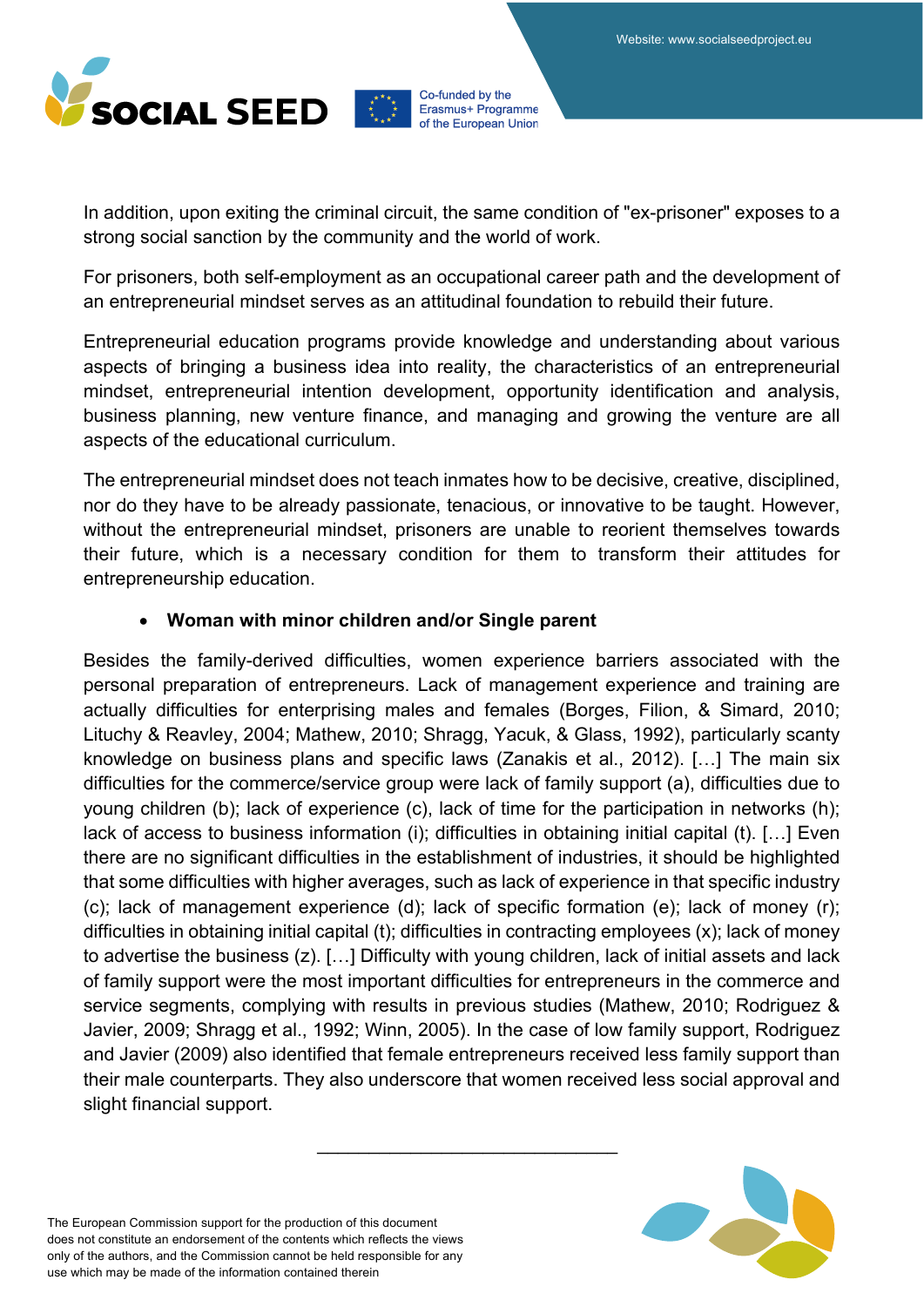

In addition, upon exiting the criminal circuit, the same condition of "ex-prisoner" exposes to a strong social sanction by the community and the world of work.

For prisoners, both self-employment as an occupational career path and the development of an entrepreneurial mindset serves as an attitudinal foundation to rebuild their future.

Entrepreneurial education programs provide knowledge and understanding about various aspects of bringing a business idea into reality, the characteristics of an entrepreneurial mindset, entrepreneurial intention development, opportunity identification and analysis, business planning, new venture finance, and managing and growing the venture are all aspects of the educational curriculum.

The entrepreneurial mindset does not teach inmates how to be decisive, creative, disciplined, nor do they have to be already passionate, tenacious, or innovative to be taught. However, without the entrepreneurial mindset, prisoners are unable to reorient themselves towards their future, which is a necessary condition for them to transform their attitudes for entrepreneurship education.

### • **Woman with minor children and/or Single parent**

Besides the family-derived difficulties, women experience barriers associated with the personal preparation of entrepreneurs. Lack of management experience and training are actually difficulties for enterprising males and females (Borges, Filion, & Simard, 2010; Lituchy & Reavley, 2004; Mathew, 2010; Shragg, Yacuk, & Glass, 1992), particularly scanty knowledge on business plans and specific laws (Zanakis et al., 2012). […] The main six difficulties for the commerce/service group were lack of family support (a), difficulties due to young children (b); lack of experience (c), lack of time for the participation in networks (h); lack of access to business information (i); difficulties in obtaining initial capital (t). […] Even there are no significant difficulties in the establishment of industries, it should be highlighted that some difficulties with higher averages, such as lack of experience in that specific industry (c); lack of management experience (d); lack of specific formation (e); lack of money (r); difficulties in obtaining initial capital (t); difficulties in contracting employees (x); lack of money to advertise the business (z). […] Difficulty with young children, lack of initial assets and lack of family support were the most important difficulties for entrepreneurs in the commerce and service segments, complying with results in previous studies (Mathew, 2010; Rodriguez & Javier, 2009; Shragg et al., 1992; Winn, 2005). In the case of low family support, Rodriguez and Javier (2009) also identified that female entrepreneurs received less family support than their male counterparts. They also underscore that women received less social approval and slight financial support.

*\_\_\_\_\_\_\_\_\_\_\_\_\_\_\_\_\_\_\_\_\_\_\_\_\_\_\_\_\_*

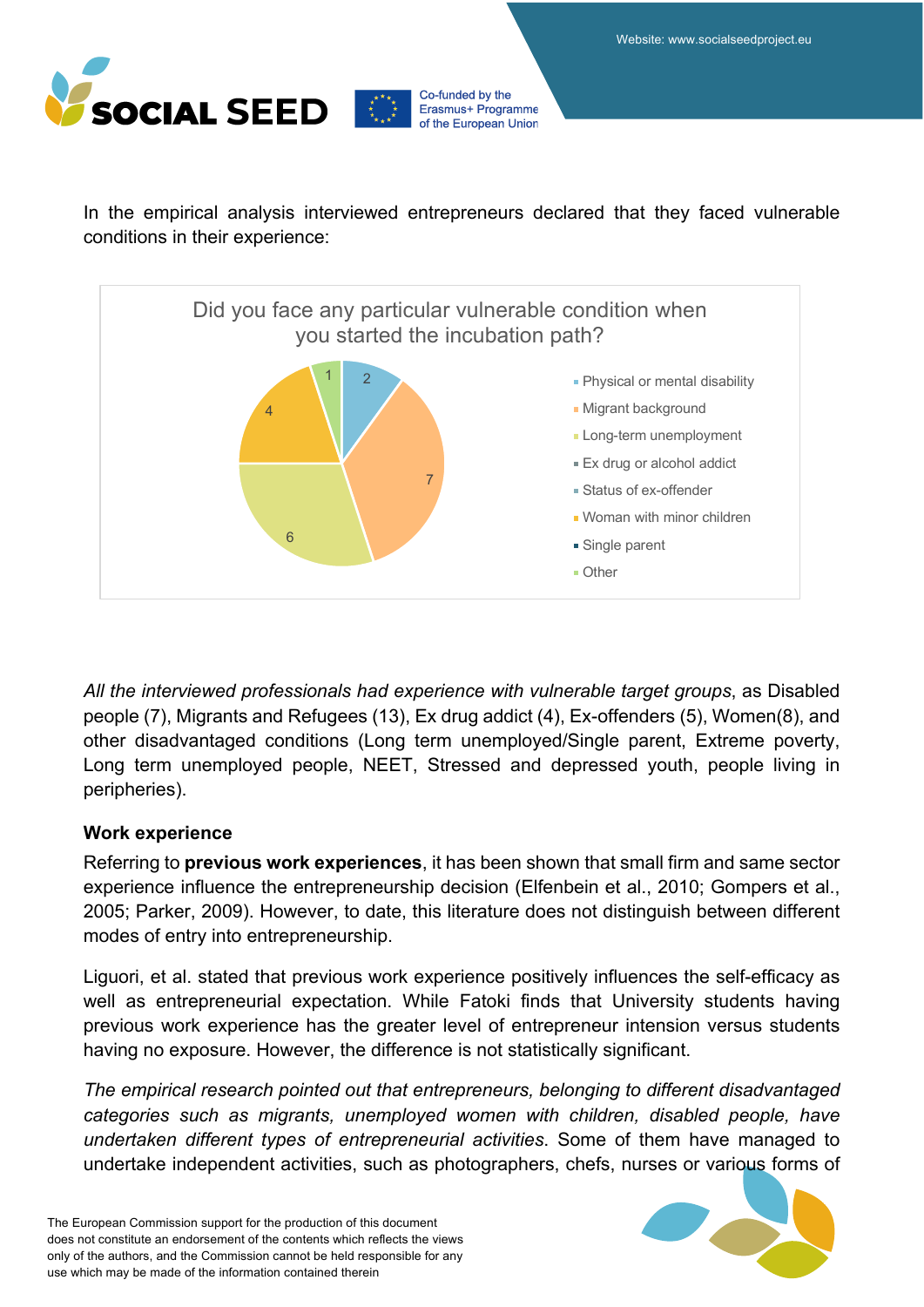

In the empirical analysis interviewed entrepreneurs declared that they faced vulnerable conditions in their experience:



*All the interviewed professionals had experience with vulnerable target groups*, as Disabled people (7), Migrants and Refugees (13), Ex drug addict (4), Ex-offenders (5), Women(8), and other disadvantaged conditions (Long term unemployed/Single parent, Extreme poverty, Long term unemployed people, NEET, Stressed and depressed youth, people living in peripheries).

### **Work experience**

Referring to **previous work experiences**, it has been shown that small firm and same sector experience influence the entrepreneurship decision (Elfenbein et al., 2010; Gompers et al., 2005; Parker, 2009). However, to date, this literature does not distinguish between different modes of entry into entrepreneurship.

Liguori, et al. stated that previous work experience positively influences the self-efficacy as well as entrepreneurial expectation. While Fatoki finds that University students having previous work experience has the greater level of entrepreneur intension versus students having no exposure. However, the difference is not statistically significant.

*The empirical research pointed out that entrepreneurs, belonging to different disadvantaged categories such as migrants, unemployed women with children, disabled people, have undertaken different types of entrepreneurial activities*. Some of them have managed to undertake independent activities, such as photographers, chefs, nurses or various forms of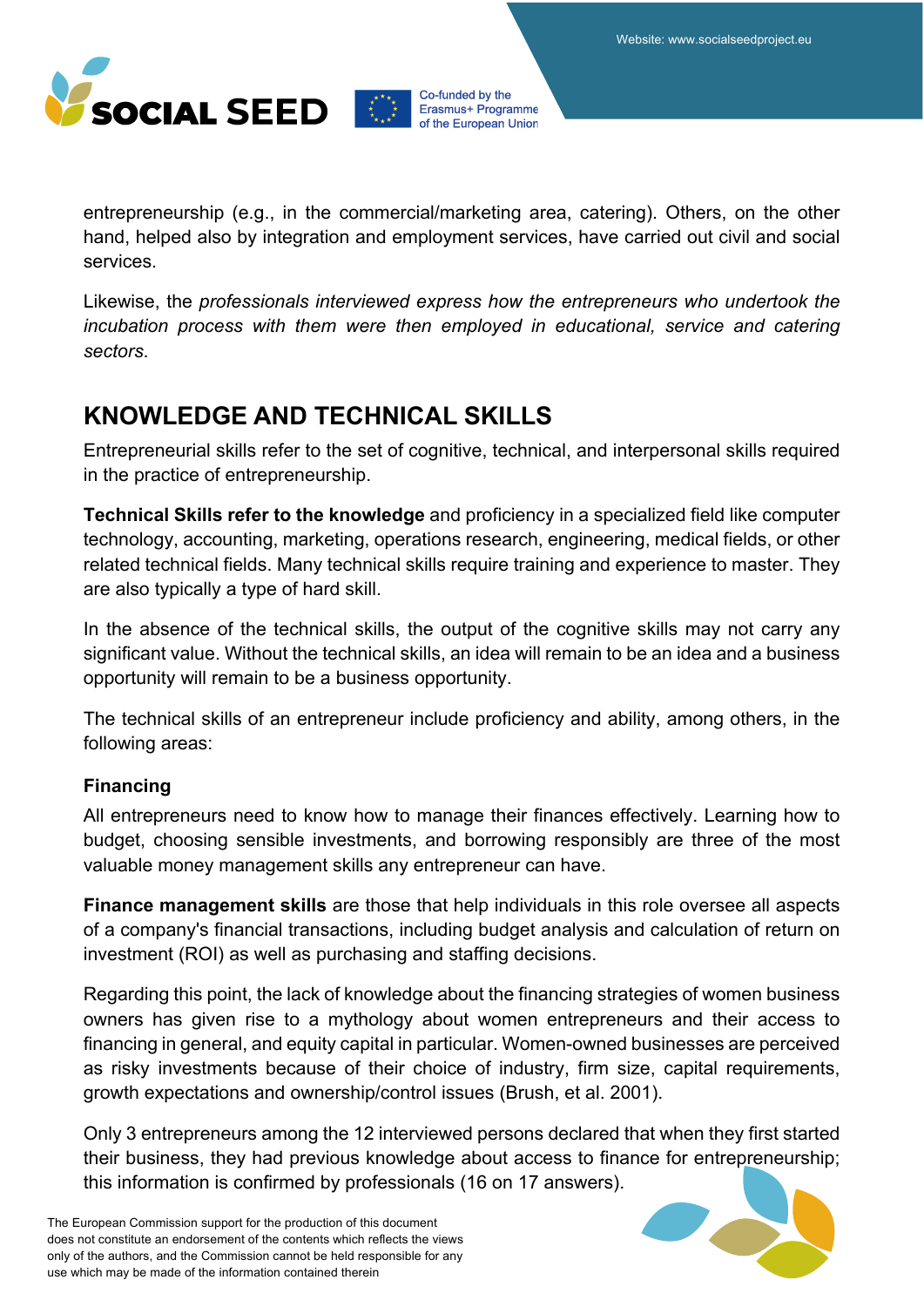

entrepreneurship (e.g., in the commercial/marketing area, catering). Others, on the other hand, helped also by integration and employment services, have carried out civil and social services.

Likewise, the *professionals interviewed express how the entrepreneurs who undertook the incubation process with them were then employed in educational, service and catering sectors*.

### **KNOWLEDGE AND TECHNICAL SKILLS**

Entrepreneurial skills refer to the set of cognitive, technical, and interpersonal skills required in the practice of entrepreneurship.

**Technical Skills refer to the knowledge** and proficiency in a specialized field like computer technology, accounting, marketing, operations research, engineering, medical fields, or other related technical fields. Many technical skills require training and experience to master. They are also typically a type of hard skill.

In the absence of the technical skills, the output of the cognitive skills may not carry any significant value. Without the technical skills, an idea will remain to be an idea and a business opportunity will remain to be a business opportunity.

The technical skills of an entrepreneur include proficiency and ability, among others, in the following areas:

### **Financing**

All entrepreneurs need to know how to manage their finances effectively. Learning how to budget, choosing sensible investments, and borrowing responsibly are three of the most valuable money management skills any entrepreneur can have.

**Finance management skills** are those that help individuals in this role oversee all aspects of a company's financial transactions, including budget analysis and calculation of return on investment (ROI) as well as purchasing and staffing decisions.

Regarding this point, the lack of knowledge about the financing strategies of women business owners has given rise to a mythology about women entrepreneurs and their access to financing in general, and equity capital in particular. Women-owned businesses are perceived as risky investments because of their choice of industry, firm size, capital requirements, growth expectations and ownership/control issues (Brush, et al. 2001).

Only 3 entrepreneurs among the 12 interviewed persons declared that when they first started their business, they had previous knowledge about access to finance for entrepreneurship; this information is confirmed by professionals (16 on 17 answers).

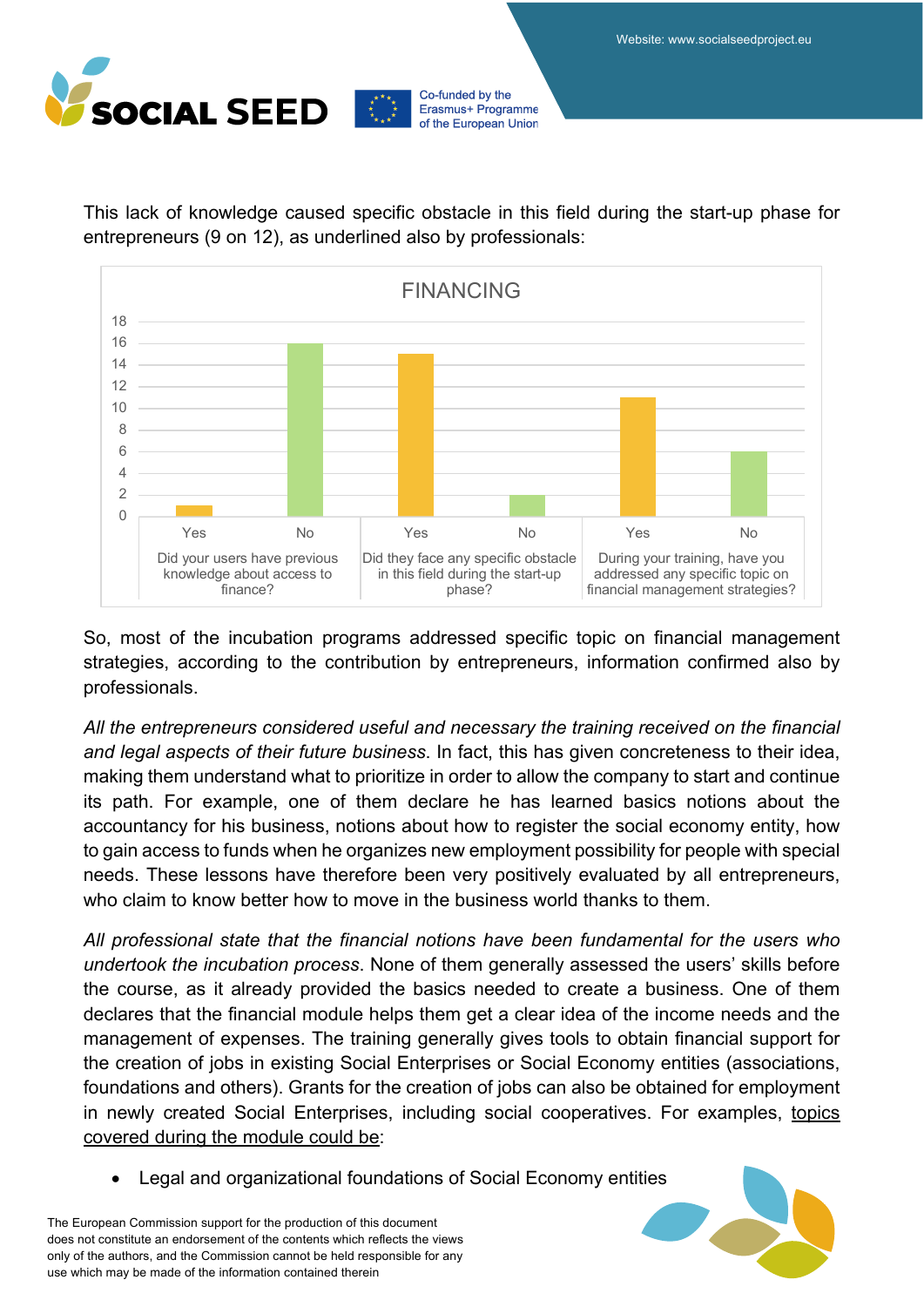

0 2 4 6 8 10 12  $14$ 16 18 Yes No Yes No Yes No Did your users have previous knowledge about access to finance? Did they face any specific obstacle in this field during the start-up phase? During your training, have you addressed any specific topic on financial management strategies? FINANCING

This lack of knowledge caused specific obstacle in this field during the start-up phase for entrepreneurs (9 on 12), as underlined also by professionals:

Co-funded by the Erasmus+ Programme of the European Union

So, most of the incubation programs addressed specific topic on financial management strategies, according to the contribution by entrepreneurs, information confirmed also by professionals.

*All the entrepreneurs considered useful and necessary the training received on the financial and legal aspects of their future business*. In fact, this has given concreteness to their idea, making them understand what to prioritize in order to allow the company to start and continue its path. For example, one of them declare he has learned basics notions about the accountancy for his business, notions about how to register the social economy entity, how to gain access to funds when he organizes new employment possibility for people with special needs. These lessons have therefore been very positively evaluated by all entrepreneurs, who claim to know better how to move in the business world thanks to them.

*All professional state that the financial notions have been fundamental for the users who undertook the incubation process*. None of them generally assessed the users' skills before the course, as it already provided the basics needed to create a business. One of them declares that the financial module helps them get a clear idea of the income needs and the management of expenses. The training generally gives tools to obtain financial support for the creation of jobs in existing Social Enterprises or Social Economy entities (associations, foundations and others). Grants for the creation of jobs can also be obtained for employment in newly created Social Enterprises, including social cooperatives. For examples, topics covered during the module could be:

• Legal and organizational foundations of Social Economy entities

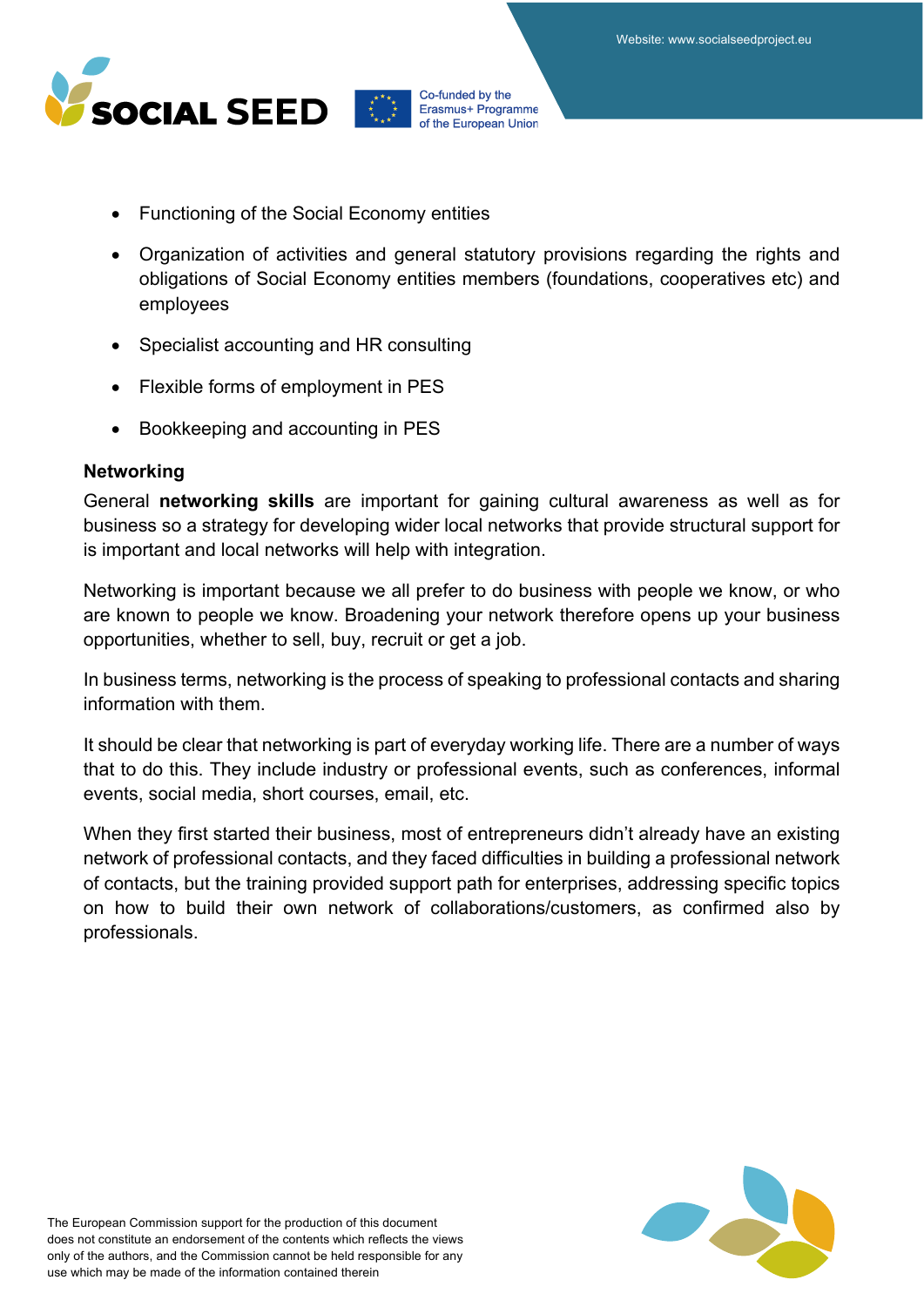

- Functioning of the Social Economy entities
- Organization of activities and general statutory provisions regarding the rights and obligations of Social Economy entities members (foundations, cooperatives etc) and employees
- Specialist accounting and HR consulting
- Flexible forms of employment in PES
- Bookkeeping and accounting in PES

#### **Networking**

General **networking skills** are important for gaining cultural awareness as well as for business so a strategy for developing wider local networks that provide structural support for is important and local networks will help with integration.

Networking is important because we all prefer to do business with people we know, or who are known to people we know. Broadening your network therefore opens up your business opportunities, whether to sell, buy, recruit or get a job.

In business terms, networking is the process of speaking to professional contacts and sharing information with them.

It should be clear that networking is part of everyday working life. There are a number of ways that to do this. They include industry or professional events, such as conferences, informal events, social media, short courses, email, etc.

When they first started their business, most of entrepreneurs didn't already have an existing network of professional contacts, and they faced difficulties in building a professional network of contacts, but the training provided support path for enterprises, addressing specific topics on how to build their own network of collaborations/customers, as confirmed also by professionals.

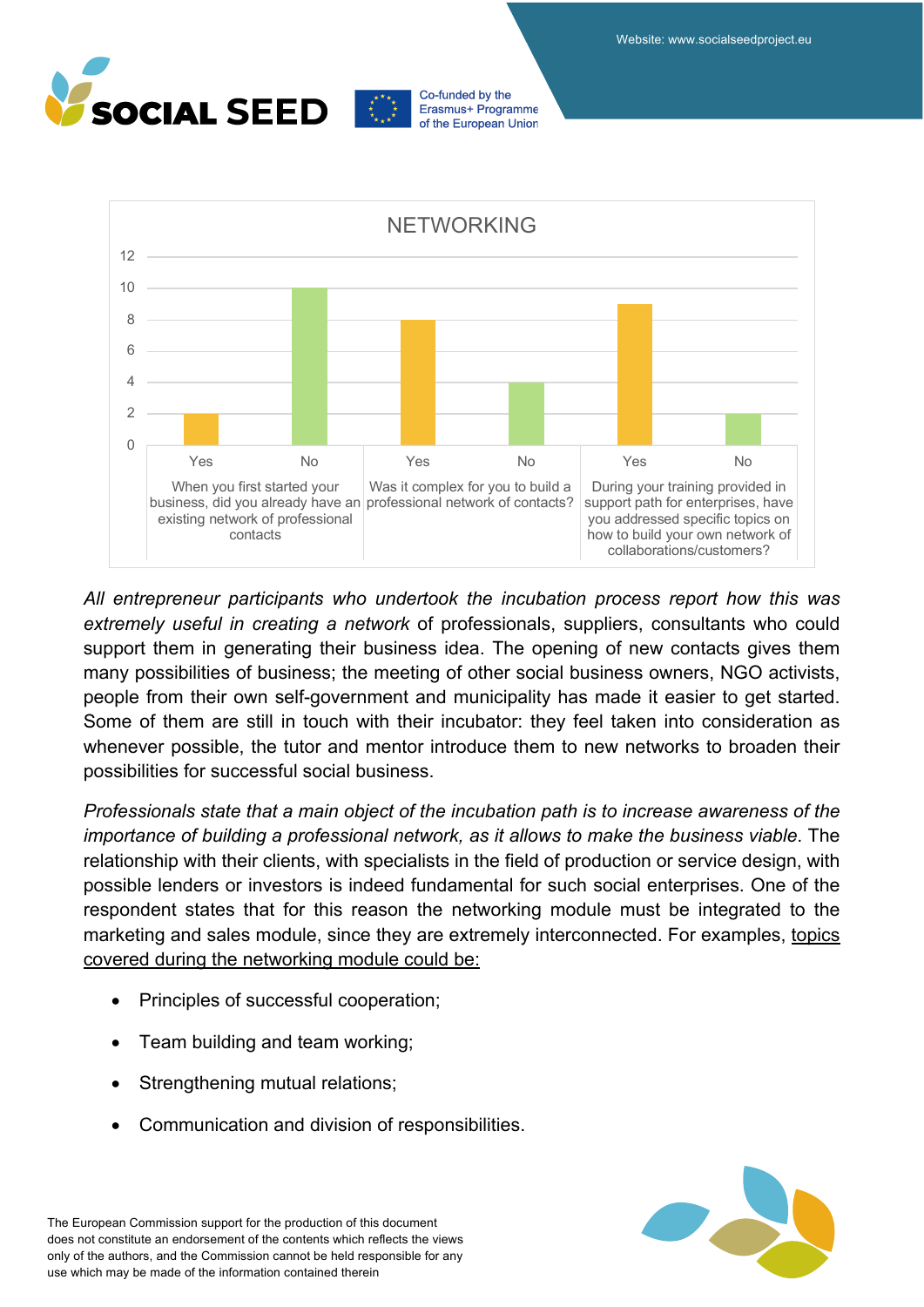





*All entrepreneur participants who undertook the incubation process report how this was extremely useful in creating a network* of professionals, suppliers, consultants who could support them in generating their business idea. The opening of new contacts gives them many possibilities of business; the meeting of other social business owners, NGO activists, people from their own self-government and municipality has made it easier to get started. Some of them are still in touch with their incubator: they feel taken into consideration as whenever possible, the tutor and mentor introduce them to new networks to broaden their possibilities for successful social business.

*Professionals state that a main object of the incubation path is to increase awareness of the importance of building a professional network, as it allows to make the business viable*. The relationship with their clients, with specialists in the field of production or service design, with possible lenders or investors is indeed fundamental for such social enterprises. One of the respondent states that for this reason the networking module must be integrated to the marketing and sales module, since they are extremely interconnected. For examples, topics covered during the networking module could be:

- Principles of successful cooperation;
- Team building and team working;
- Strengthening mutual relations;
- Communication and division of responsibilities.

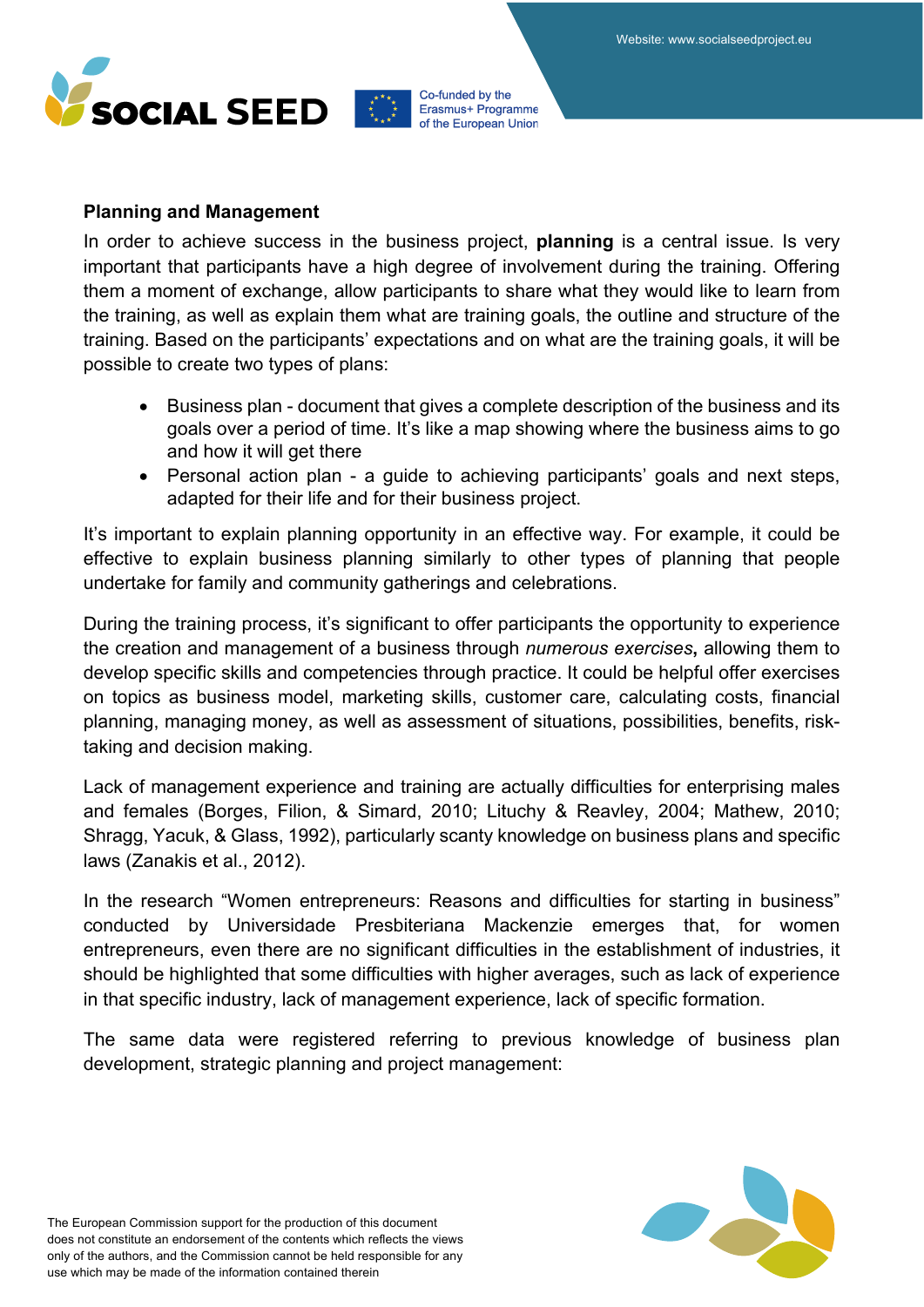



#### **Planning and Management**

In order to achieve success in the business project, **planning** is a central issue. Is very important that participants have a high degree of involvement during the training. Offering them a moment of exchange, allow participants to share what they would like to learn from the training, as well as explain them what are training goals, the outline and structure of the training. Based on the participants' expectations and on what are the training goals, it will be possible to create two types of plans:

- Business plan document that gives a complete description of the business and its goals over a period of time. It's like a map showing where the business aims to go and how it will get there
- Personal action plan a guide to achieving participants' goals and next steps, adapted for their life and for their business project.

It's important to explain planning opportunity in an effective way. For example, it could be effective to explain business planning similarly to other types of planning that people undertake for family and community gatherings and celebrations.

During the training process, it's significant to offer participants the opportunity to experience the creation and management of a business through *numerous exercises***,** allowing them to develop specific skills and competencies through practice. It could be helpful offer exercises on topics as business model, marketing skills, customer care, calculating costs, financial planning, managing money, as well as assessment of situations, possibilities, benefits, risktaking and decision making.

Lack of management experience and training are actually difficulties for enterprising males and females (Borges, Filion, & Simard, 2010; Lituchy & Reavley, 2004; Mathew, 2010; Shragg, Yacuk, & Glass, 1992), particularly scanty knowledge on business plans and specific laws (Zanakis et al., 2012).

In the research "Women entrepreneurs: Reasons and difficulties for starting in business" conducted by Universidade Presbiteriana Mackenzie emerges that, for women entrepreneurs, even there are no significant difficulties in the establishment of industries, it should be highlighted that some difficulties with higher averages, such as lack of experience in that specific industry, lack of management experience, lack of specific formation.

The same data were registered referring to previous knowledge of business plan development, strategic planning and project management:

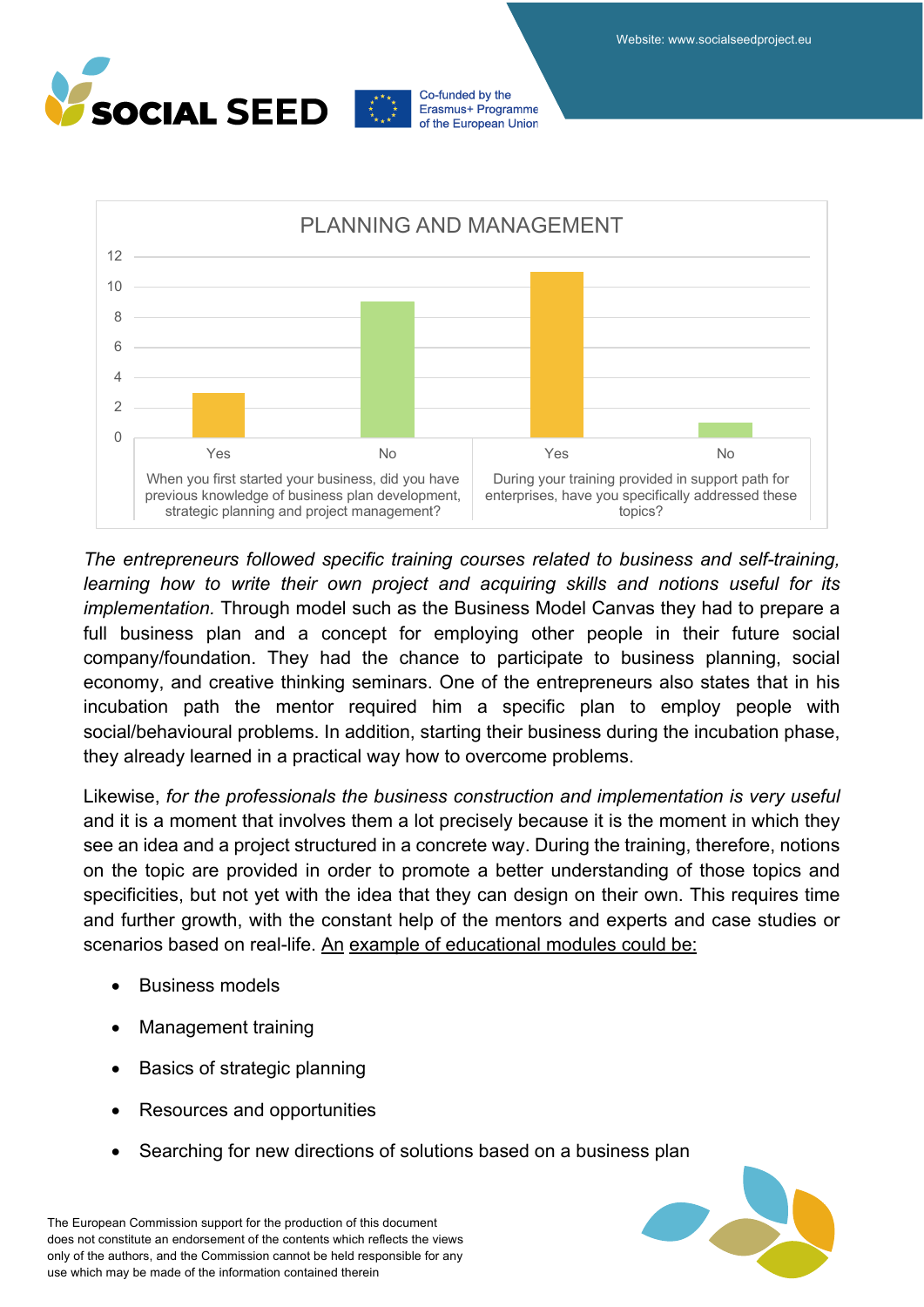





*The entrepreneurs followed specific training courses related to business and self-training, learning how to write their own project and acquiring skills and notions useful for its implementation.* Through model such as the Business Model Canvas they had to prepare a full business plan and a concept for employing other people in their future social company/foundation. They had the chance to participate to business planning, social economy, and creative thinking seminars. One of the entrepreneurs also states that in his incubation path the mentor required him a specific plan to employ people with social/behavioural problems. In addition, starting their business during the incubation phase, they already learned in a practical way how to overcome problems.

Likewise, *for the professionals the business construction and implementation is very useful* and it is a moment that involves them a lot precisely because it is the moment in which they see an idea and a project structured in a concrete way. During the training, therefore, notions on the topic are provided in order to promote a better understanding of those topics and specificities, but not yet with the idea that they can design on their own. This requires time and further growth, with the constant help of the mentors and experts and case studies or scenarios based on real-life. An example of educational modules could be:

- **Business models**
- Management training
- Basics of strategic planning
- Resources and opportunities
- Searching for new directions of solutions based on a business plan

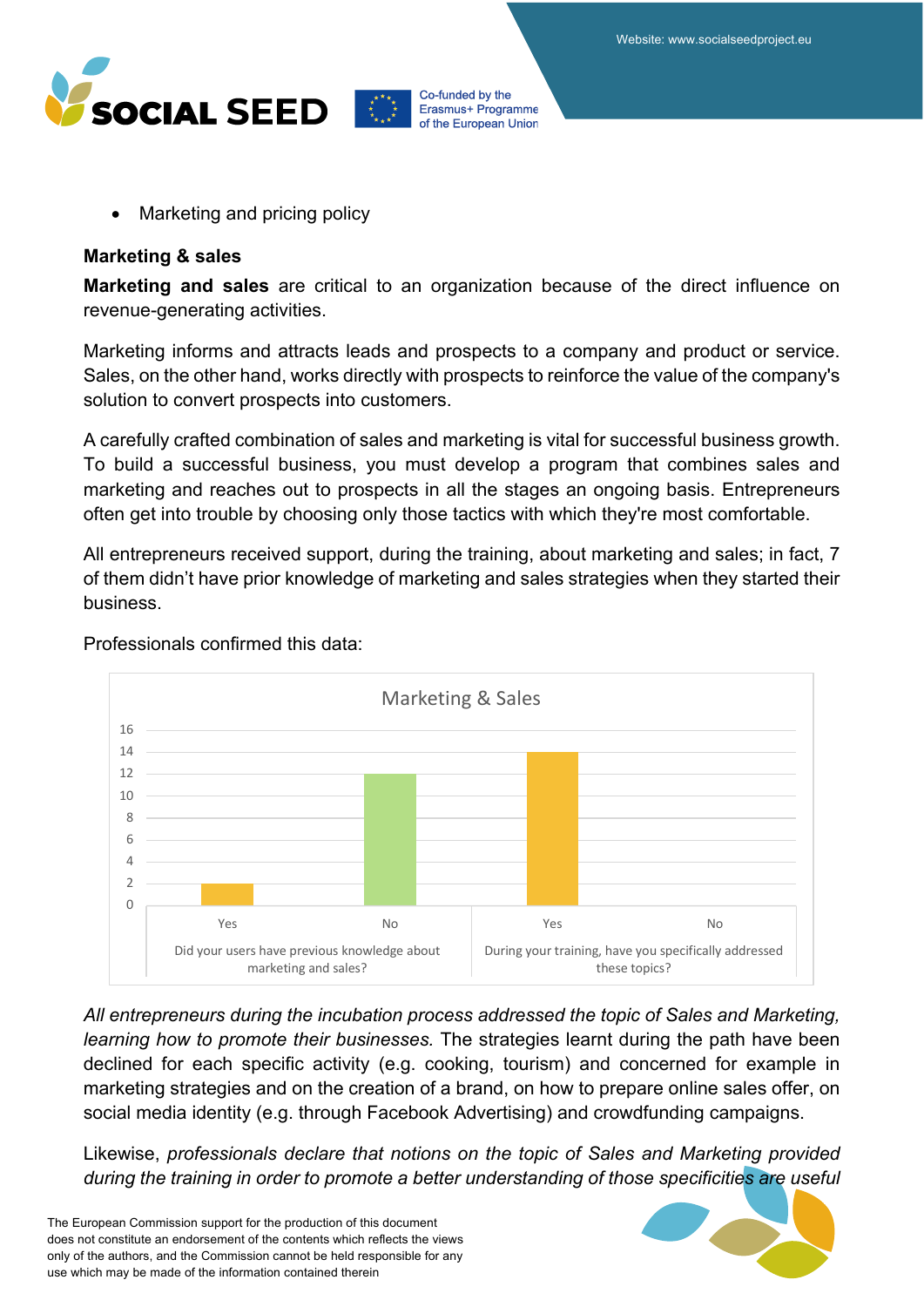



• Marketing and pricing policy

#### **Marketing & sales**

**Marketing and sales** are critical to an organization because of the direct influence on revenue-generating activities.

Marketing informs and attracts leads and prospects to a company and product or service. Sales, on the other hand, works directly with prospects to reinforce the value of the company's solution to convert prospects into customers.

A carefully crafted combination of sales and marketing is vital for successful business growth. To build a successful business, you must develop a program that combines sales and marketing and reaches out to prospects in all the stages an ongoing basis. Entrepreneurs often get into trouble by choosing only those tactics with which they're most comfortable.

All entrepreneurs received support, during the training, about marketing and sales; in fact, 7 of them didn't have prior knowledge of marketing and sales strategies when they started their business.



Professionals confirmed this data:

*All entrepreneurs during the incubation process addressed the topic of Sales and Marketing, learning how to promote their businesses.* The strategies learnt during the path have been declined for each specific activity (e.g. cooking, tourism) and concerned for example in marketing strategies and on the creation of a brand, on how to prepare online sales offer, on social media identity (e.g. through Facebook Advertising) and crowdfunding campaigns.

Likewise, *professionals declare that notions on the topic of Sales and Marketing provided during the training in order to promote a better understanding of those specificities are useful*

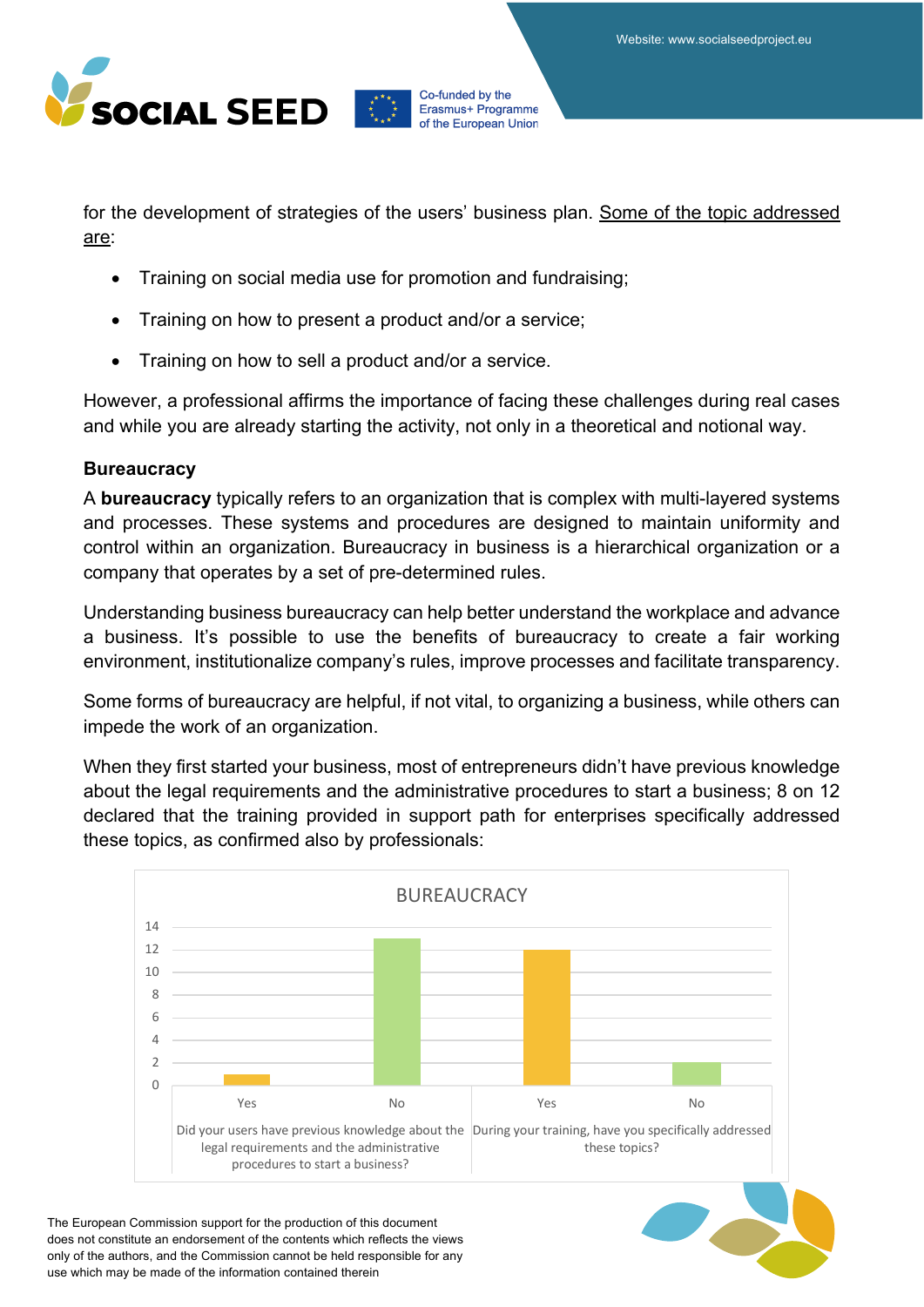

for the development of strategies of the users' business plan. Some of the topic addressed are:

- Training on social media use for promotion and fundraising;
- Training on how to present a product and/or a service;
- Training on how to sell a product and/or a service.

However, a professional affirms the importance of facing these challenges during real cases and while you are already starting the activity, not only in a theoretical and notional way.

### **Bureaucracy**

A **bureaucracy** typically refers to an organization that is complex with multi-layered systems and processes. These systems and procedures are designed to maintain uniformity and control within an organization. Bureaucracy in business is a hierarchical organization or a company that operates by a set of pre-determined rules.

Understanding business bureaucracy can help better understand the workplace and advance a business. It's possible to use the benefits of bureaucracy to create a fair working environment, institutionalize company's rules, improve processes and facilitate transparency.

Some forms of bureaucracy are helpful, if not vital, to organizing a business, while others can impede the work of an organization.

When they first started your business, most of entrepreneurs didn't have previous knowledge about the legal requirements and the administrative procedures to start a business; 8 on 12 declared that the training provided in support path for enterprises specifically addressed these topics, as confirmed also by professionals:

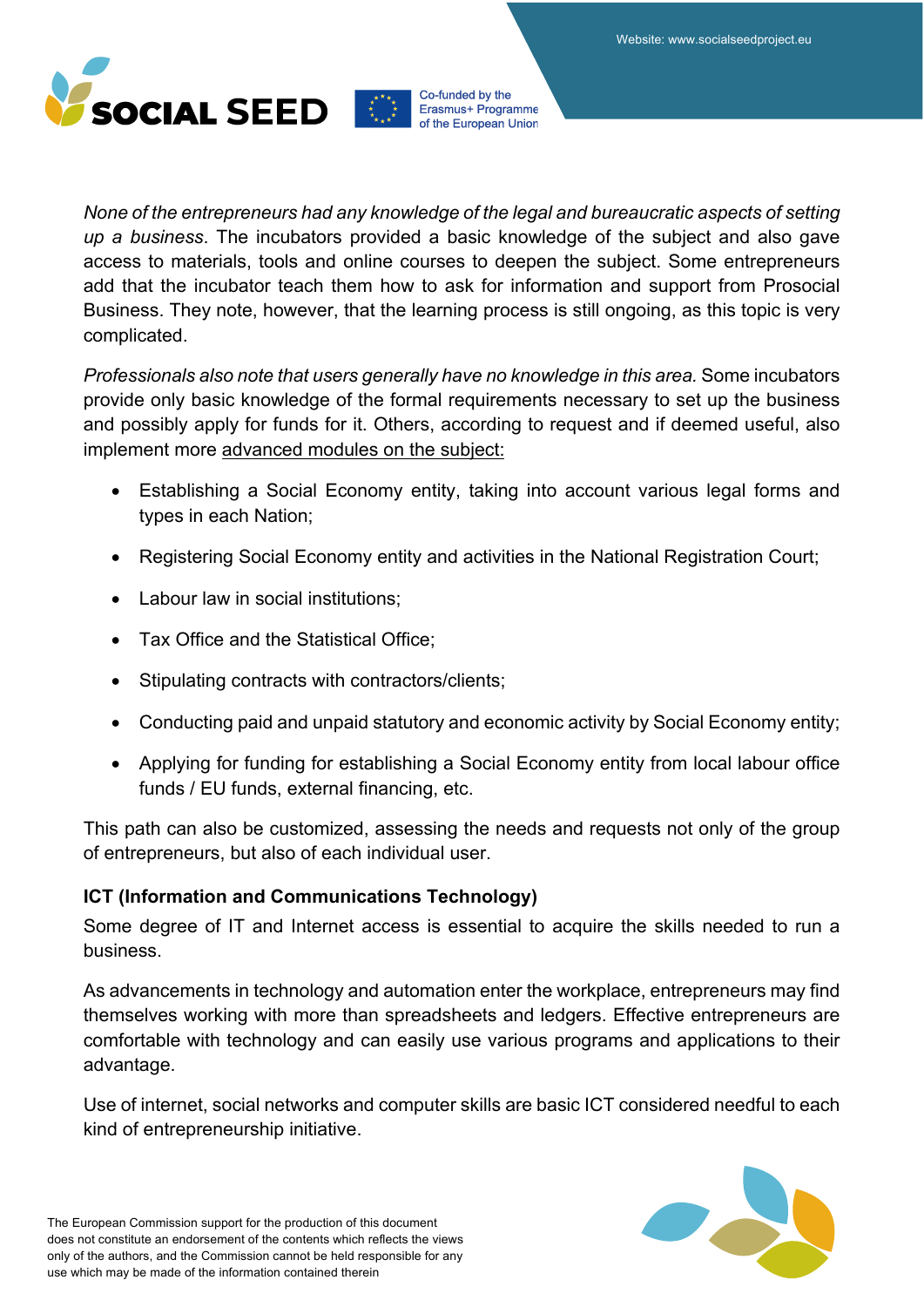

*None of the entrepreneurs had any knowledge of the legal and bureaucratic aspects of setting up a business*. The incubators provided a basic knowledge of the subject and also gave access to materials, tools and online courses to deepen the subject. Some entrepreneurs add that the incubator teach them how to ask for information and support from Prosocial Business. They note, however, that the learning process is still ongoing, as this topic is very complicated.

*Professionals also note that users generally have no knowledge in this area.* Some incubators provide only basic knowledge of the formal requirements necessary to set up the business and possibly apply for funds for it. Others, according to request and if deemed useful, also implement more advanced modules on the subject:

- Establishing a Social Economy entity, taking into account various legal forms and types in each Nation;
- Registering Social Economy entity and activities in the National Registration Court;
- Labour law in social institutions;
- Tax Office and the Statistical Office;
- Stipulating contracts with contractors/clients;
- Conducting paid and unpaid statutory and economic activity by Social Economy entity;
- Applying for funding for establishing a Social Economy entity from local labour office funds / EU funds, external financing, etc.

This path can also be customized, assessing the needs and requests not only of the group of entrepreneurs, but also of each individual user.

### **ICT (Information and Communications Technology)**

Some degree of IT and Internet access is essential to acquire the skills needed to run a business.

As advancements in technology and automation enter the workplace, entrepreneurs may find themselves working with more than spreadsheets and ledgers. Effective entrepreneurs are comfortable with technology and can easily use various programs and applications to their advantage.

Use of internet, social networks and computer skills are basic ICT considered needful to each kind of entrepreneurship initiative.

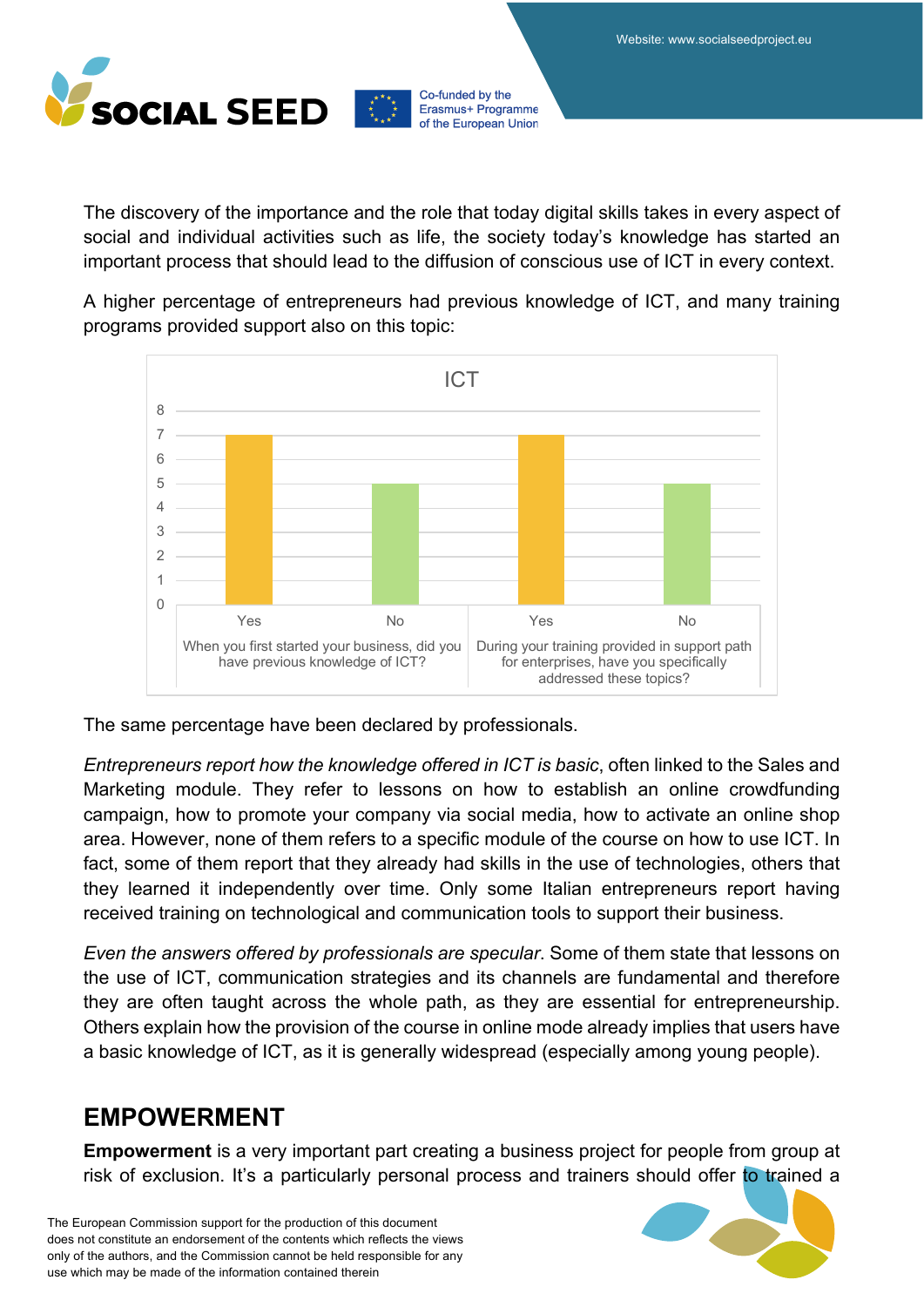

The discovery of the importance and the role that today digital skills takes in every aspect of social and individual activities such as life, the society today's knowledge has started an important process that should lead to the diffusion of conscious use of ICT in every context.

A higher percentage of entrepreneurs had previous knowledge of ICT, and many training programs provided support also on this topic:



The same percentage have been declared by professionals.

*Entrepreneurs report how the knowledge offered in ICT is basic*, often linked to the Sales and Marketing module. They refer to lessons on how to establish an online crowdfunding campaign, how to promote your company via social media, how to activate an online shop area. However, none of them refers to a specific module of the course on how to use ICT. In fact, some of them report that they already had skills in the use of technologies, others that they learned it independently over time. Only some Italian entrepreneurs report having received training on technological and communication tools to support their business.

*Even the answers offered by professionals are specular*. Some of them state that lessons on the use of ICT, communication strategies and its channels are fundamental and therefore they are often taught across the whole path, as they are essential for entrepreneurship. Others explain how the provision of the course in online mode already implies that users have a basic knowledge of ICT, as it is generally widespread (especially among young people).

### **EMPOWERMENT**

**Empowerment** is a very important part creating a business project for people from group at risk of exclusion. It's a particularly personal process and trainers should offer to trained a

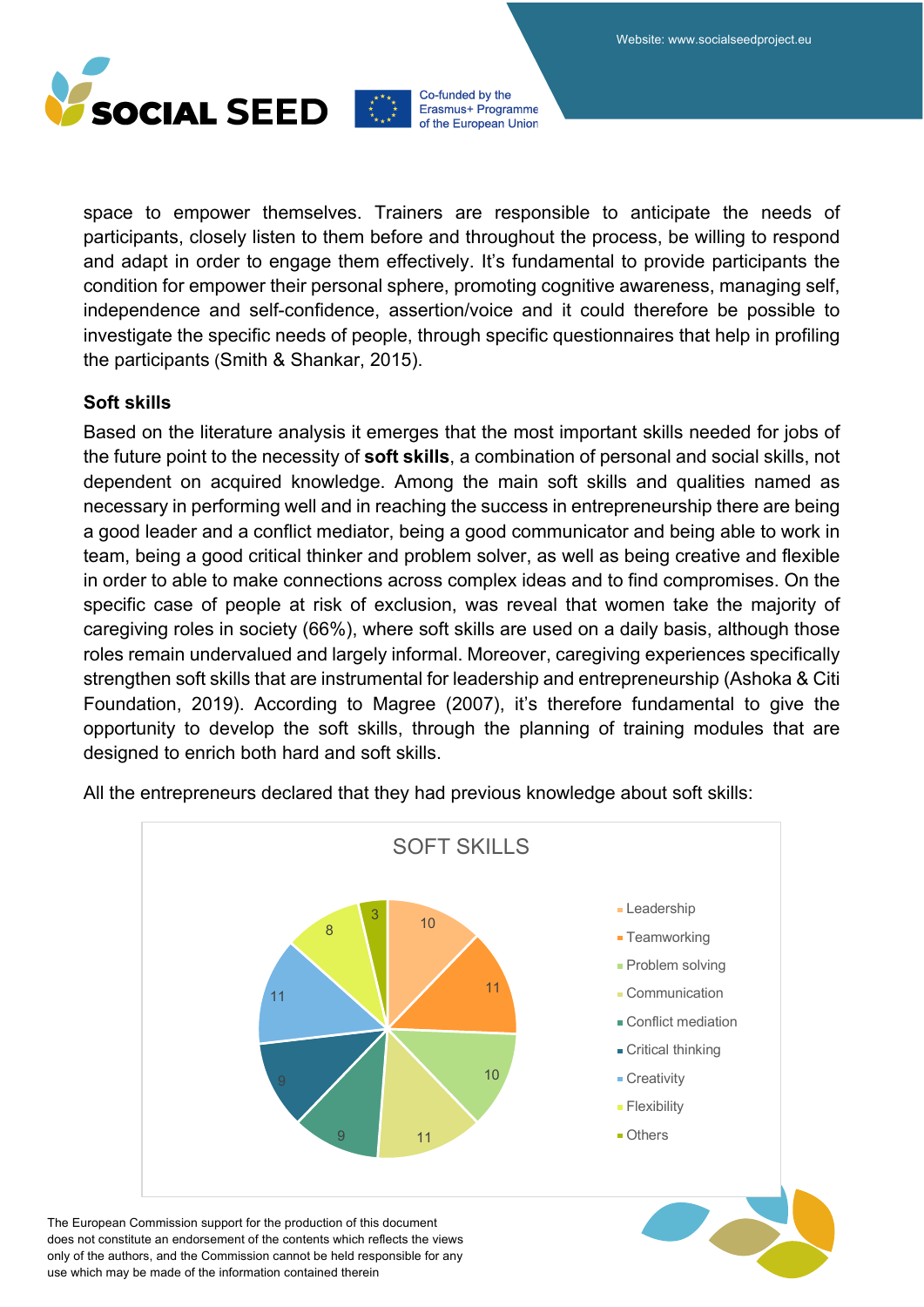

space to empower themselves. Trainers are responsible to anticipate the needs of participants, closely listen to them before and throughout the process, be willing to respond and adapt in order to engage them effectively. It's fundamental to provide participants the condition for empower their personal sphere, promoting cognitive awareness, managing self, independence and self-confidence, assertion/voice and it could therefore be possible to investigate the specific needs of people, through specific questionnaires that help in profiling the participants (Smith & Shankar, 2015).

### **Soft skills**

Based on the literature analysis it emerges that the most important skills needed for jobs of the future point to the necessity of **soft skills**, a combination of personal and social skills, not dependent on acquired knowledge. Among the main soft skills and qualities named as necessary in performing well and in reaching the success in entrepreneurship there are being a good leader and a conflict mediator, being a good communicator and being able to work in team, being a good critical thinker and problem solver, as well as being creative and flexible in order to able to make connections across complex ideas and to find compromises. On the specific case of people at risk of exclusion, was reveal that women take the majority of caregiving roles in society (66%), where soft skills are used on a daily basis, although those roles remain undervalued and largely informal. Moreover, caregiving experiences specifically strengthen soft skills that are instrumental for leadership and entrepreneurship (Ashoka & Citi Foundation, 2019). According to Magree (2007), it's therefore fundamental to give the opportunity to develop the soft skills, through the planning of training modules that are designed to enrich both hard and soft skills.



All the entrepreneurs declared that they had previous knowledge about soft skills: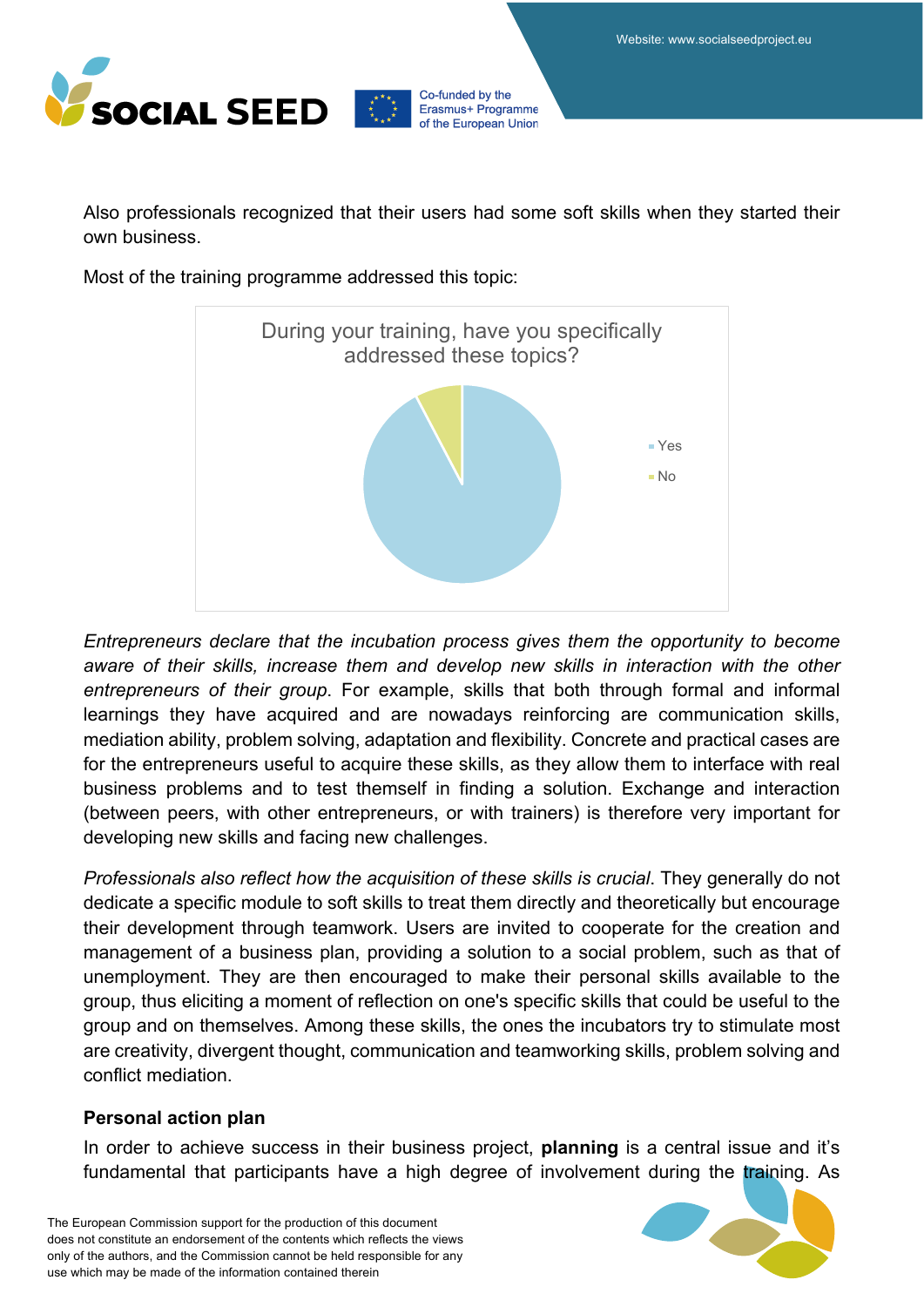

Also professionals recognized that their users had some soft skills when they started their own business.

Co-funded by the

Erasmus+ Programme of the European Union

Most of the training programme addressed this topic:



*Entrepreneurs declare that the incubation process gives them the opportunity to become aware of their skills, increase them and develop new skills in interaction with the other entrepreneurs of their group*. For example, skills that both through formal and informal learnings they have acquired and are nowadays reinforcing are communication skills, mediation ability, problem solving, adaptation and flexibility. Concrete and practical cases are for the entrepreneurs useful to acquire these skills, as they allow them to interface with real business problems and to test themself in finding a solution. Exchange and interaction (between peers, with other entrepreneurs, or with trainers) is therefore very important for developing new skills and facing new challenges.

*Professionals also reflect how the acquisition of these skills is crucial*. They generally do not dedicate a specific module to soft skills to treat them directly and theoretically but encourage their development through teamwork. Users are invited to cooperate for the creation and management of a business plan, providing a solution to a social problem, such as that of unemployment. They are then encouraged to make their personal skills available to the group, thus eliciting a moment of reflection on one's specific skills that could be useful to the group and on themselves. Among these skills, the ones the incubators try to stimulate most are creativity, divergent thought, communication and teamworking skills, problem solving and conflict mediation.

### **Personal action plan**

In order to achieve success in their business project, **planning** is a central issue and it's fundamental that participants have a high degree of involvement during the training. As

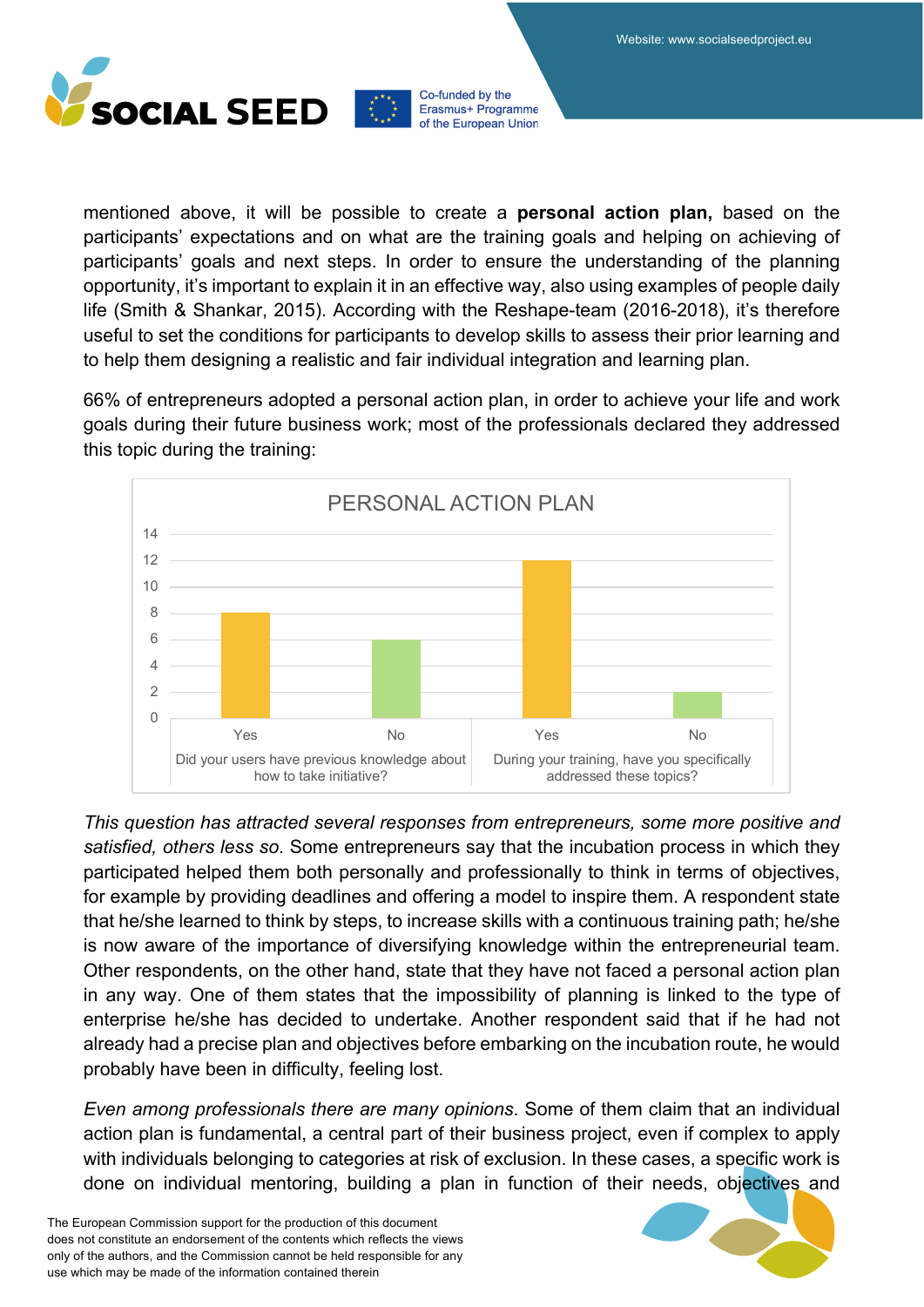



mentioned above, it will be possible to create a **personal action plan,** based on the participants' expectations and on what are the training goals and helping on achieving of participants' goals and next steps. In order to ensure the understanding of the planning opportunity, it's important to explain it in an effective way, also using examples of people daily life (Smith & Shankar, 2015). According with the Reshape-team (2016-2018), it's therefore useful to set the conditions for participants to develop skills to assess their prior learning and to help them designing a realistic and fair individual integration and learning plan.

66% of entrepreneurs adopted a personal action plan, in order to achieve your life and work goals during their future business work; most of the professionals declared they addressed this topic during the training:



*This question has attracted several responses from entrepreneurs, some more positive and satisfied, others less so*. Some entrepreneurs say that the incubation process in which they participated helped them both personally and professionally to think in terms of objectives, for example by providing deadlines and offering a model to inspire them. A respondent state that he/she learned to think by steps, to increase skills with a continuous training path; he/she is now aware of the importance of diversifying knowledge within the entrepreneurial team. Other respondents, on the other hand, state that they have not faced a personal action plan in any way. One of them states that the impossibility of planning is linked to the type of enterprise he/she has decided to undertake. Another respondent said that if he had not already had a precise plan and objectives before embarking on the incubation route, he would probably have been in difficulty, feeling lost.

*Even among professionals there are many opinions*. Some of them claim that an individual action plan is fundamental, a central part of their business project, even if complex to apply with individuals belonging to categories at risk of exclusion. In these cases, a specific work is done on individual mentoring, building a plan in function of their needs, objectives and

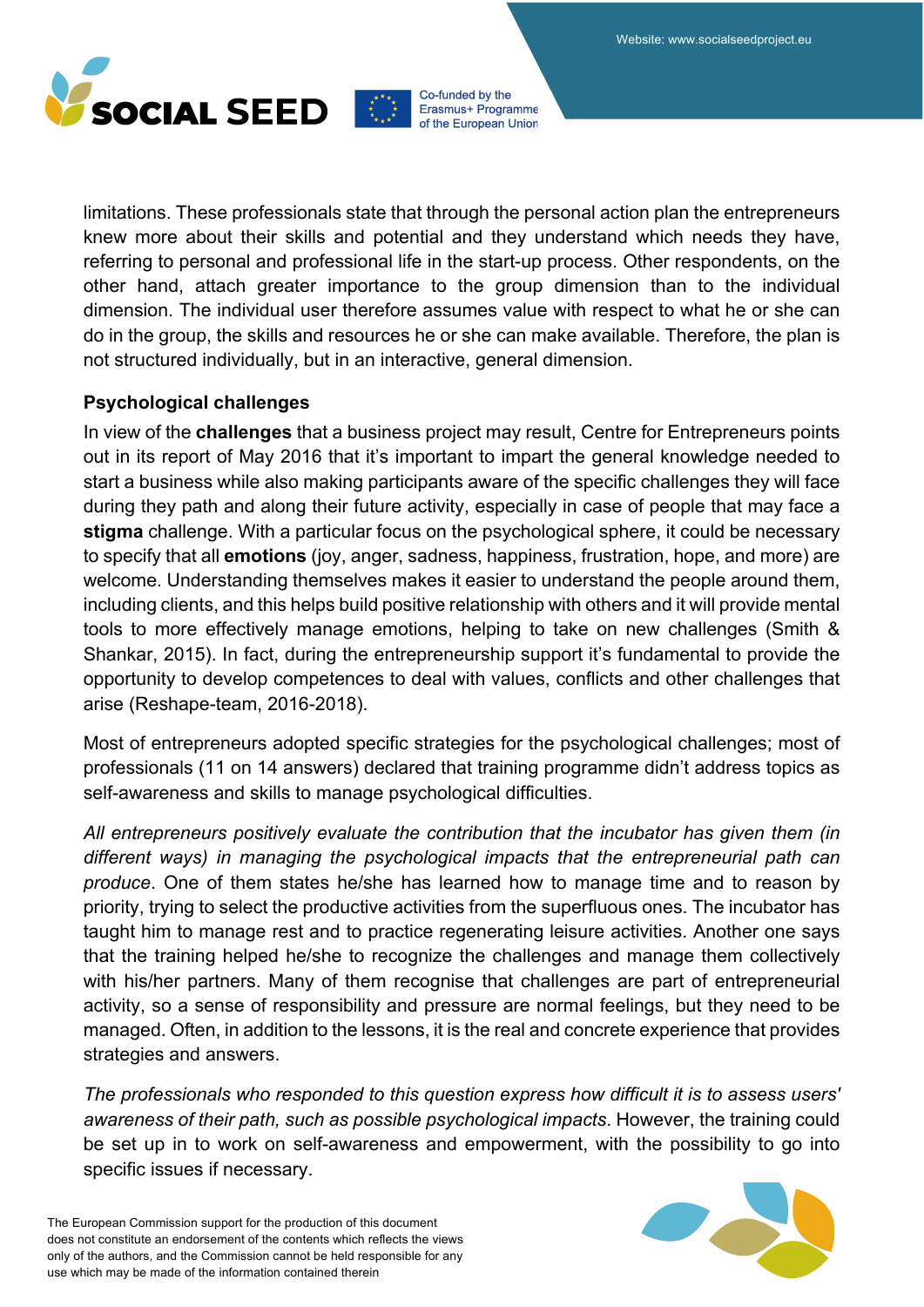



limitations. These professionals state that through the personal action plan the entrepreneurs knew more about their skills and potential and they understand which needs they have, referring to personal and professional life in the start-up process. Other respondents, on the other hand, attach greater importance to the group dimension than to the individual dimension. The individual user therefore assumes value with respect to what he or she can do in the group, the skills and resources he or she can make available. Therefore, the plan is not structured individually, but in an interactive, general dimension.

### **Psychological challenges**

In view of the **challenges** that a business project may result, Centre for Entrepreneurs points out in its report of May 2016 that it's important to impart the general knowledge needed to start a business while also making participants aware of the specific challenges they will face during they path and along their future activity, especially in case of people that may face a **stigma** challenge. With a particular focus on the psychological sphere, it could be necessary to specify that all **emotions** (joy, anger, sadness, happiness, frustration, hope, and more) are welcome. Understanding themselves makes it easier to understand the people around them, including clients, and this helps build positive relationship with others and it will provide mental tools to more effectively manage emotions, helping to take on new challenges (Smith & Shankar, 2015). In fact, during the entrepreneurship support it's fundamental to provide the opportunity to develop competences to deal with values, conflicts and other challenges that arise (Reshape-team, 2016-2018).

Most of entrepreneurs adopted specific strategies for the psychological challenges; most of professionals (11 on 14 answers) declared that training programme didn't address topics as self-awareness and skills to manage psychological difficulties.

*All entrepreneurs positively evaluate the contribution that the incubator has given them (in different ways) in managing the psychological impacts that the entrepreneurial path can produce*. One of them states he/she has learned how to manage time and to reason by priority, trying to select the productive activities from the superfluous ones. The incubator has taught him to manage rest and to practice regenerating leisure activities. Another one says that the training helped he/she to recognize the challenges and manage them collectively with his/her partners. Many of them recognise that challenges are part of entrepreneurial activity, so a sense of responsibility and pressure are normal feelings, but they need to be managed. Often, in addition to the lessons, it is the real and concrete experience that provides strategies and answers.

*The professionals who responded to this question express how difficult it is to assess users' awareness of their path, such as possible psychological impacts*. However, the training could be set up in to work on self-awareness and empowerment, with the possibility to go into specific issues if necessary.

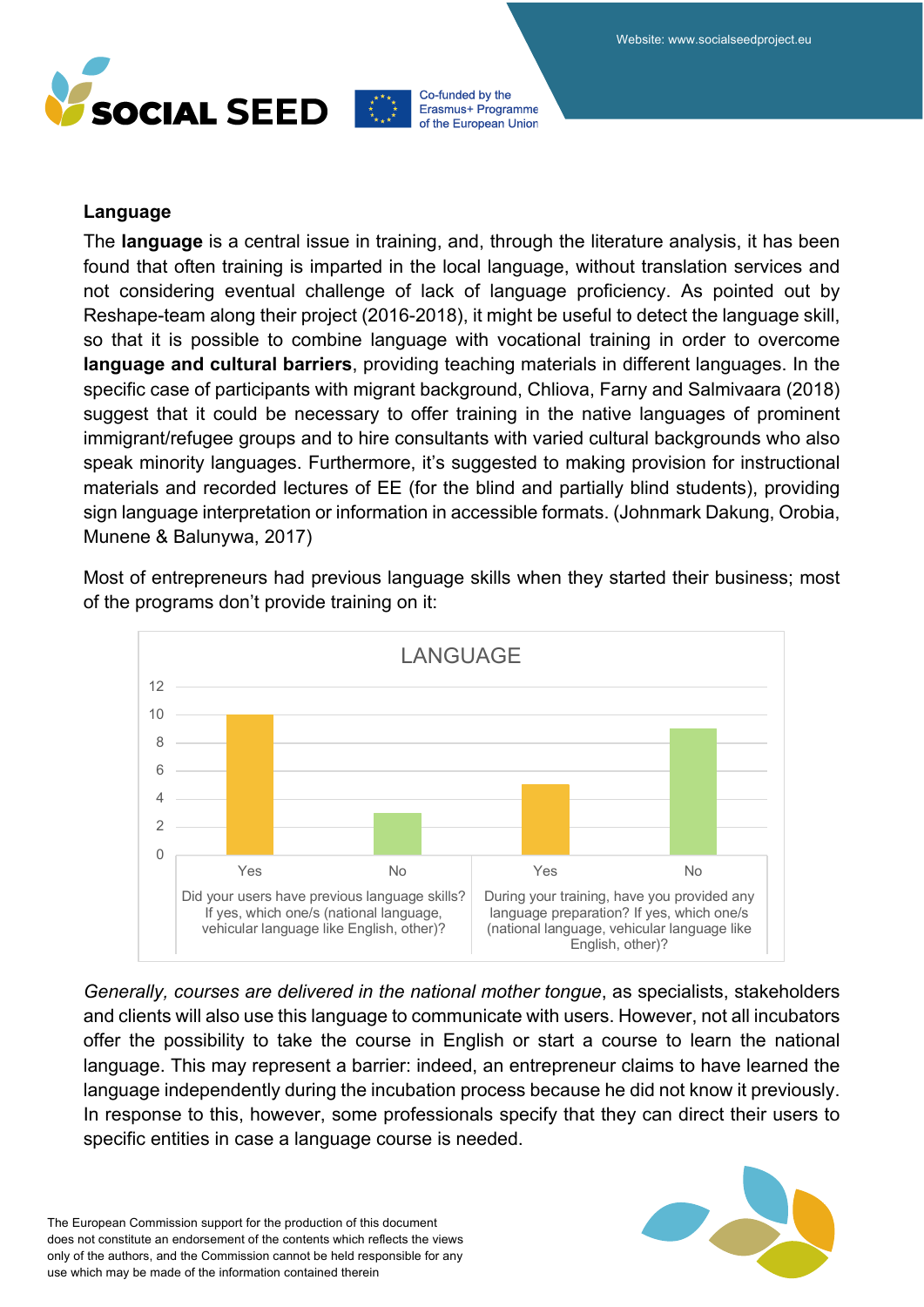



#### **Language**

The **language** is a central issue in training, and, through the literature analysis, it has been found that often training is imparted in the local language, without translation services and not considering eventual challenge of lack of language proficiency. As pointed out by Reshape-team along their project (2016-2018), it might be useful to detect the language skill, so that it is possible to combine language with vocational training in order to overcome **language and cultural barriers**, providing teaching materials in different languages. In the specific case of participants with migrant background, Chliova, Farny and Salmivaara (2018) suggest that it could be necessary to offer training in the native languages of prominent immigrant/refugee groups and to hire consultants with varied cultural backgrounds who also speak minority languages. Furthermore, it's suggested to making provision for instructional materials and recorded lectures of EE (for the blind and partially blind students), providing sign language interpretation or information in accessible formats. (Johnmark Dakung, Orobia, Munene & Balunywa, 2017)

Most of entrepreneurs had previous language skills when they started their business; most of the programs don't provide training on it:



*Generally, courses are delivered in the national mother tongue*, as specialists, stakeholders and clients will also use this language to communicate with users. However, not all incubators offer the possibility to take the course in English or start a course to learn the national language. This may represent a barrier: indeed, an entrepreneur claims to have learned the language independently during the incubation process because he did not know it previously. In response to this, however, some professionals specify that they can direct their users to specific entities in case a language course is needed.

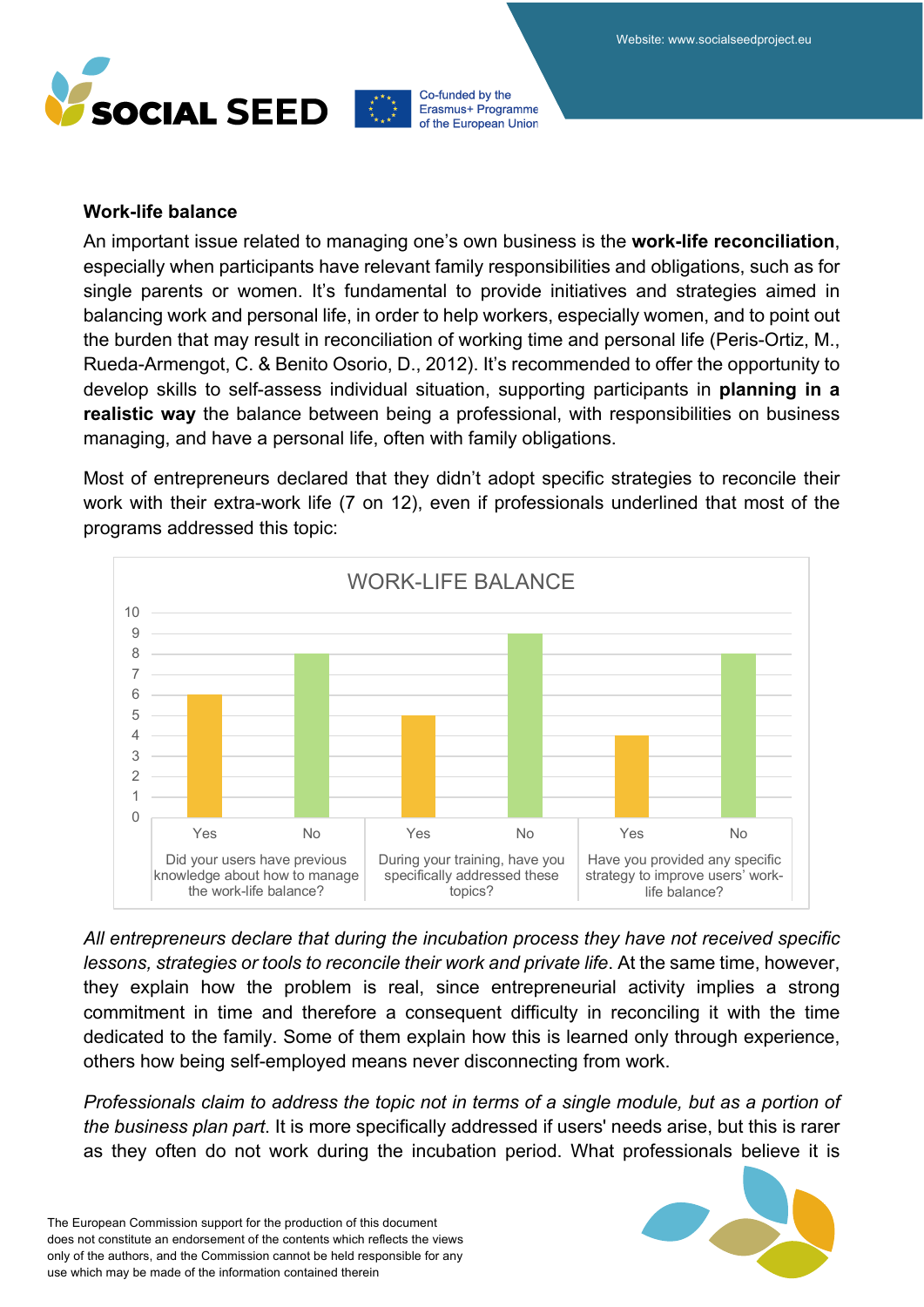



#### **Work-life balance**

An important issue related to managing one's own business is the **work-life reconciliation**, especially when participants have relevant family responsibilities and obligations, such as for single parents or women. It's fundamental to provide initiatives and strategies aimed in balancing work and personal life, in order to help workers, especially women, and to point out the burden that may result in reconciliation of working time and personal life (Peris-Ortiz, M., Rueda-Armengot, C. & Benito Osorio, D., 2012). It's recommended to offer the opportunity to develop skills to self-assess individual situation, supporting participants in **planning in a realistic way** the balance between being a professional, with responsibilities on business managing, and have a personal life, often with family obligations.

Most of entrepreneurs declared that they didn't adopt specific strategies to reconcile their work with their extra-work life (7 on 12), even if professionals underlined that most of the programs addressed this topic:



*All entrepreneurs declare that during the incubation process they have not received specific lessons, strategies or tools to reconcile their work and private life*. At the same time, however, they explain how the problem is real, since entrepreneurial activity implies a strong commitment in time and therefore a consequent difficulty in reconciling it with the time dedicated to the family. Some of them explain how this is learned only through experience, others how being self-employed means never disconnecting from work.

*Professionals claim to address the topic not in terms of a single module, but as a portion of the business plan part*. It is more specifically addressed if users' needs arise, but this is rarer as they often do not work during the incubation period. What professionals believe it is

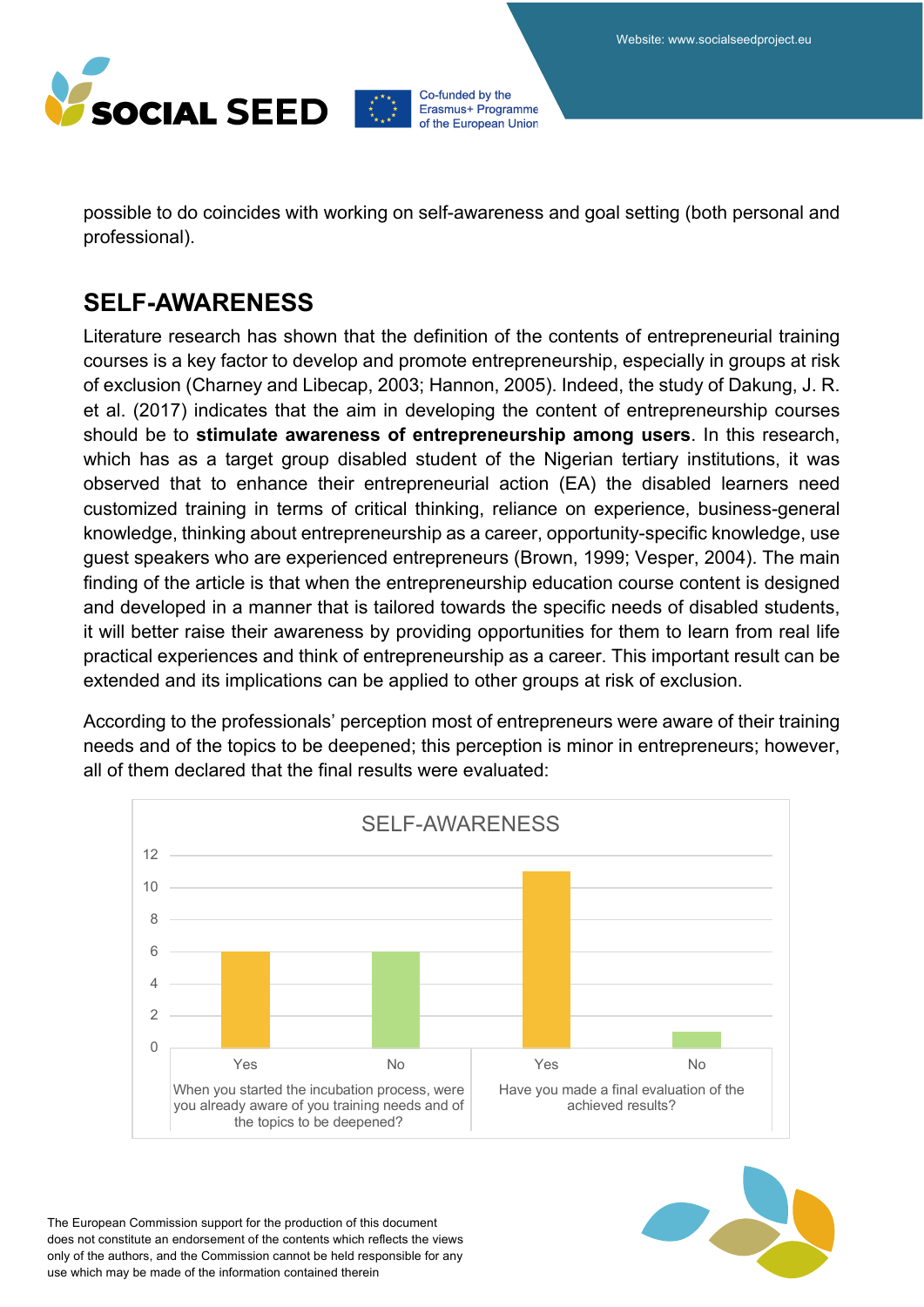

possible to do coincides with working on self-awareness and goal setting (both personal and professional).

### **SELF-AWARENESS**

Literature research has shown that the definition of the contents of entrepreneurial training courses is a key factor to develop and promote entrepreneurship, especially in groups at risk of exclusion (Charney and Libecap, 2003; Hannon, 2005). Indeed, the study of Dakung, J. R. et al. (2017) indicates that the aim in developing the content of entrepreneurship courses should be to **stimulate awareness of entrepreneurship among users**. In this research, which has as a target group disabled student of the Nigerian tertiary institutions, it was observed that to enhance their entrepreneurial action (EA) the disabled learners need customized training in terms of critical thinking, reliance on experience, business-general knowledge, thinking about entrepreneurship as a career, opportunity-specific knowledge, use guest speakers who are experienced entrepreneurs (Brown, 1999; Vesper, 2004). The main finding of the article is that when the entrepreneurship education course content is designed and developed in a manner that is tailored towards the specific needs of disabled students, it will better raise their awareness by providing opportunities for them to learn from real life practical experiences and think of entrepreneurship as a career. This important result can be extended and its implications can be applied to other groups at risk of exclusion.

According to the professionals' perception most of entrepreneurs were aware of their training needs and of the topics to be deepened; this perception is minor in entrepreneurs; however, all of them declared that the final results were evaluated:



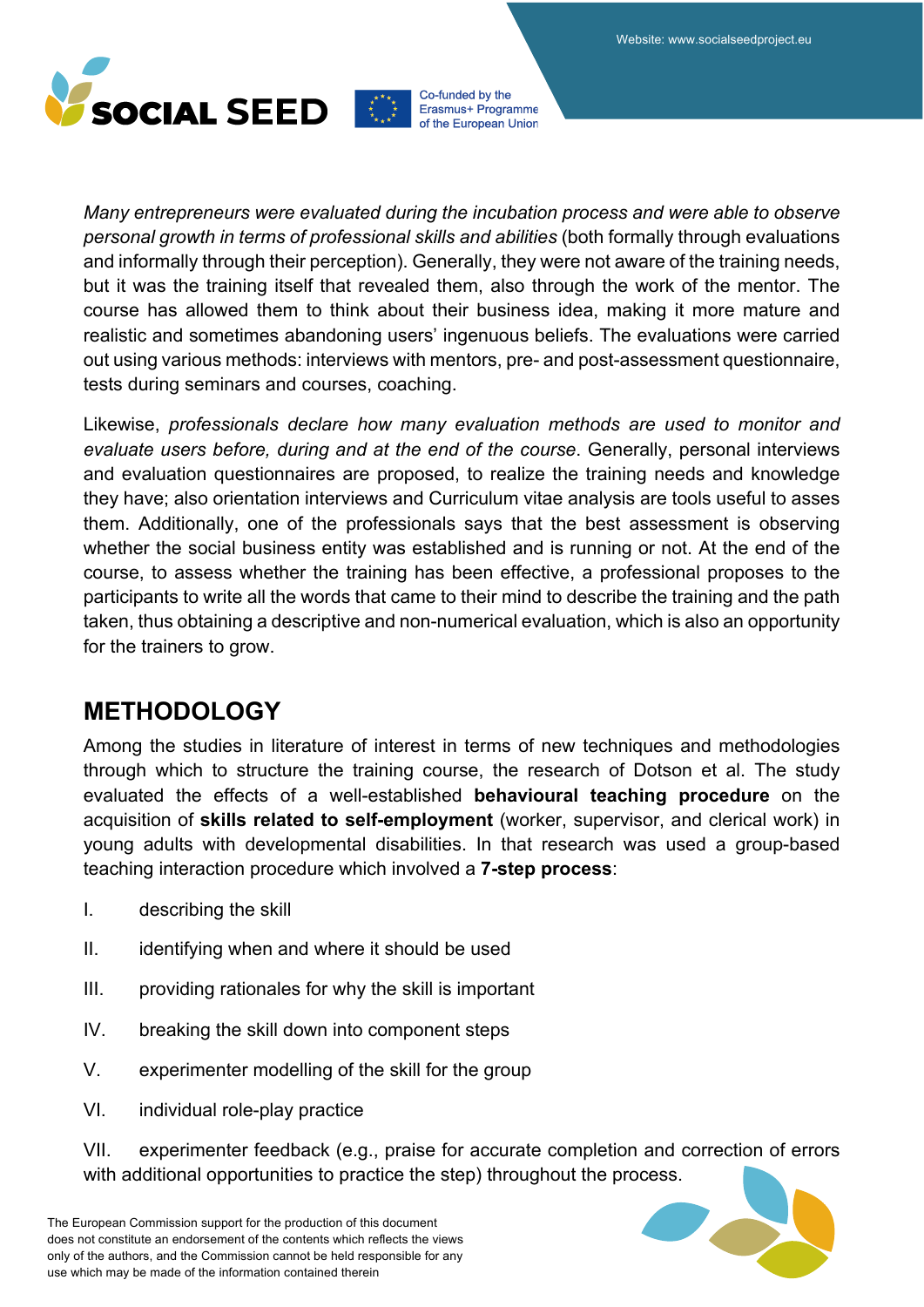



*Many entrepreneurs were evaluated during the incubation process and were able to observe personal growth in terms of professional skills and abilities* (both formally through evaluations and informally through their perception). Generally, they were not aware of the training needs, but it was the training itself that revealed them, also through the work of the mentor. The course has allowed them to think about their business idea, making it more mature and realistic and sometimes abandoning users' ingenuous beliefs. The evaluations were carried out using various methods: interviews with mentors, pre- and post-assessment questionnaire, tests during seminars and courses, coaching.

Likewise, *professionals declare how many evaluation methods are used to monitor and evaluate users before, during and at the end of the course*. Generally, personal interviews and evaluation questionnaires are proposed, to realize the training needs and knowledge they have; also orientation interviews and Curriculum vitae analysis are tools useful to asses them. Additionally, one of the professionals says that the best assessment is observing whether the social business entity was established and is running or not. At the end of the course, to assess whether the training has been effective, a professional proposes to the participants to write all the words that came to their mind to describe the training and the path taken, thus obtaining a descriptive and non-numerical evaluation, which is also an opportunity for the trainers to grow.

### **METHODOLOGY**

Among the studies in literature of interest in terms of new techniques and methodologies through which to structure the training course, the research of Dotson et al. The study evaluated the effects of a well-established **behavioural teaching procedure** on the acquisition of **skills related to self-employment** (worker, supervisor, and clerical work) in young adults with developmental disabilities. In that research was used a group-based teaching interaction procedure which involved a **7-step process**:

- I. describing the skill
- II. identifying when and where it should be used
- III. providing rationales for why the skill is important
- IV. breaking the skill down into component steps
- V. experimenter modelling of the skill for the group
- VI. individual role-play practice

VII. experimenter feedback (e.g., praise for accurate completion and correction of errors with additional opportunities to practice the step) throughout the process.



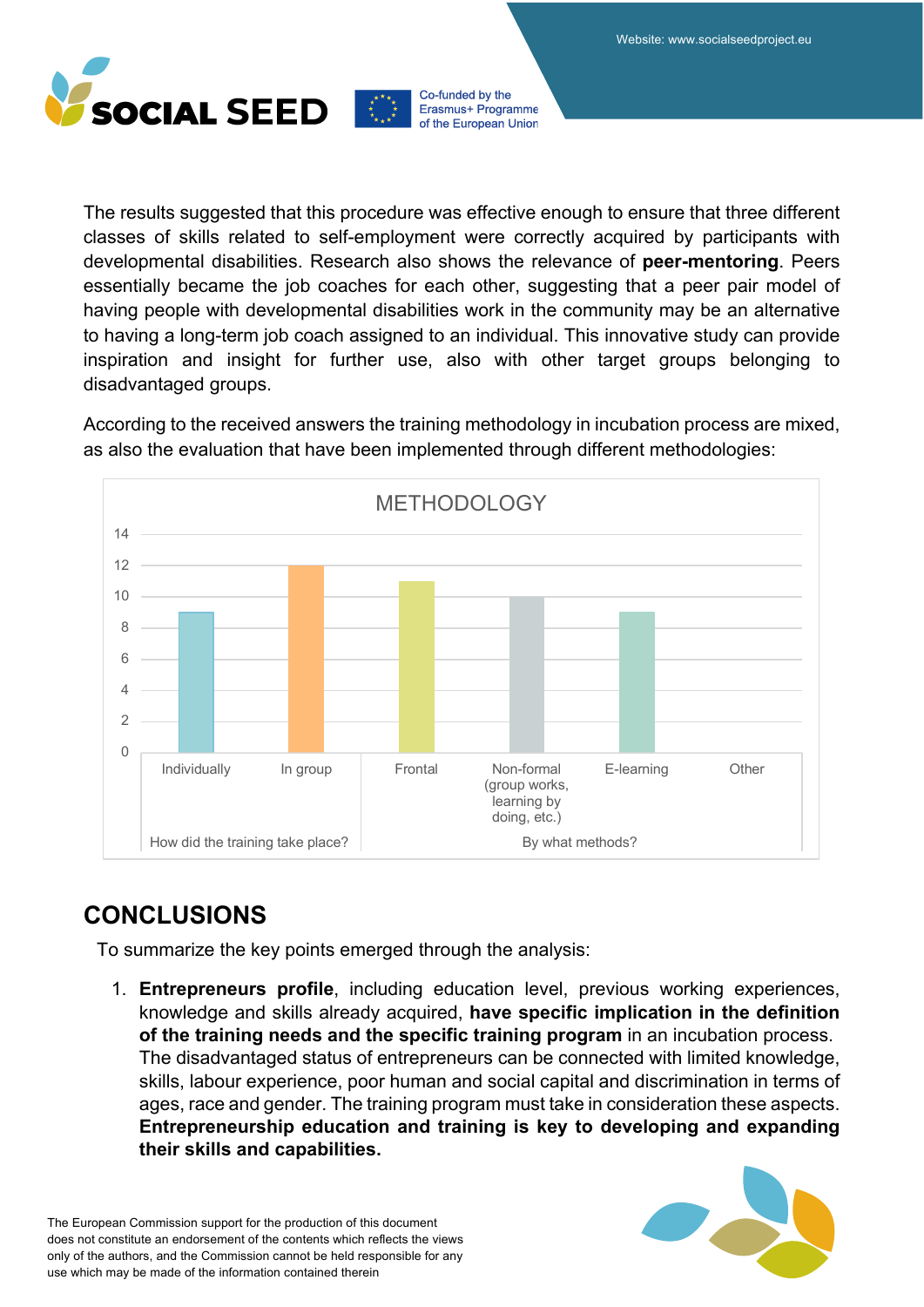

The results suggested that this procedure was effective enough to ensure that three different classes of skills related to self-employment were correctly acquired by participants with developmental disabilities. Research also shows the relevance of **peer-mentoring**. Peers essentially became the job coaches for each other, suggesting that a peer pair model of having people with developmental disabilities work in the community may be an alternative to having a long-term job coach assigned to an individual. This innovative study can provide inspiration and insight for further use, also with other target groups belonging to disadvantaged groups.

According to the received answers the training methodology in incubation process are mixed, as also the evaluation that have been implemented through different methodologies:



### **CONCLUSIONS**

To summarize the key points emerged through the analysis:

1. **Entrepreneurs profile**, including education level, previous working experiences, knowledge and skills already acquired, **have specific implication in the definition of the training needs and the specific training program** in an incubation process. The disadvantaged status of entrepreneurs can be connected with limited knowledge, skills, labour experience, poor human and social capital and discrimination in terms of ages, race and gender. The training program must take in consideration these aspects. **Entrepreneurship education and training is key to developing and expanding their skills and capabilities.**

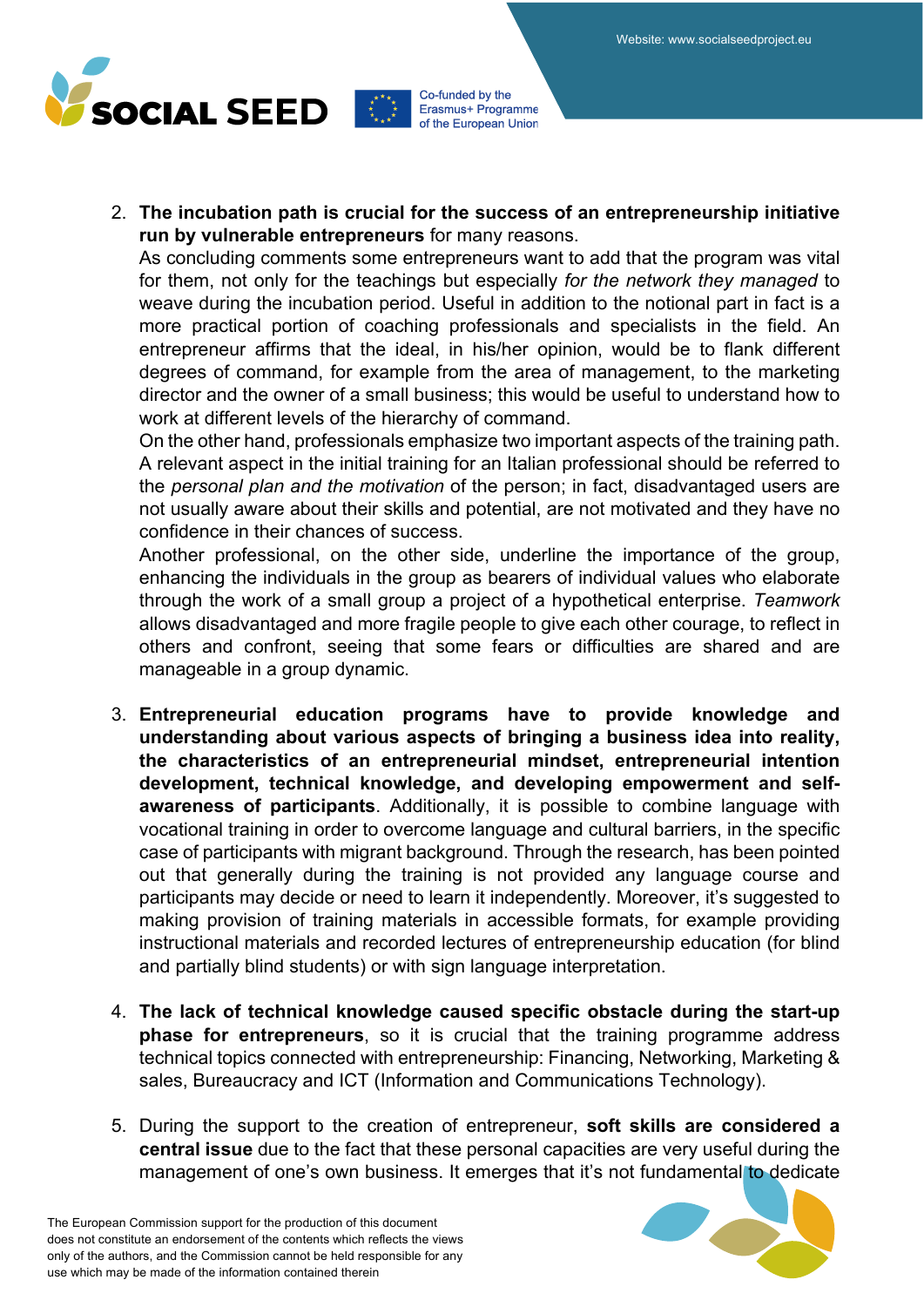

2. **The incubation path is crucial for the success of an entrepreneurship initiative run by vulnerable entrepreneurs** for many reasons.

As concluding comments some entrepreneurs want to add that the program was vital for them, not only for the teachings but especially *for the network they managed* to weave during the incubation period. Useful in addition to the notional part in fact is a more practical portion of coaching professionals and specialists in the field. An entrepreneur affirms that the ideal, in his/her opinion, would be to flank different degrees of command, for example from the area of management, to the marketing director and the owner of a small business; this would be useful to understand how to work at different levels of the hierarchy of command.

On the other hand, professionals emphasize two important aspects of the training path. A relevant aspect in the initial training for an Italian professional should be referred to the *personal plan and the motivation* of the person; in fact, disadvantaged users are not usually aware about their skills and potential, are not motivated and they have no confidence in their chances of success.

Another professional, on the other side, underline the importance of the group, enhancing the individuals in the group as bearers of individual values who elaborate through the work of a small group a project of a hypothetical enterprise. *Teamwork* allows disadvantaged and more fragile people to give each other courage, to reflect in others and confront, seeing that some fears or difficulties are shared and are manageable in a group dynamic.

- 3. **Entrepreneurial education programs have to provide knowledge and understanding about various aspects of bringing a business idea into reality, the characteristics of an entrepreneurial mindset, entrepreneurial intention development, technical knowledge, and developing empowerment and selfawareness of participants**. Additionally, it is possible to combine language with vocational training in order to overcome language and cultural barriers, in the specific case of participants with migrant background. Through the research, has been pointed out that generally during the training is not provided any language course and participants may decide or need to learn it independently. Moreover, it's suggested to making provision of training materials in accessible formats, for example providing instructional materials and recorded lectures of entrepreneurship education (for blind and partially blind students) or with sign language interpretation.
- 4. **The lack of technical knowledge caused specific obstacle during the start-up phase for entrepreneurs**, so it is crucial that the training programme address technical topics connected with entrepreneurship: Financing, Networking, Marketing & sales, Bureaucracy and ICT (Information and Communications Technology).
- 5. During the support to the creation of entrepreneur, **soft skills are considered a central issue** due to the fact that these personal capacities are very useful during the management of one's own business. It emerges that it's not fundamental to dedicate

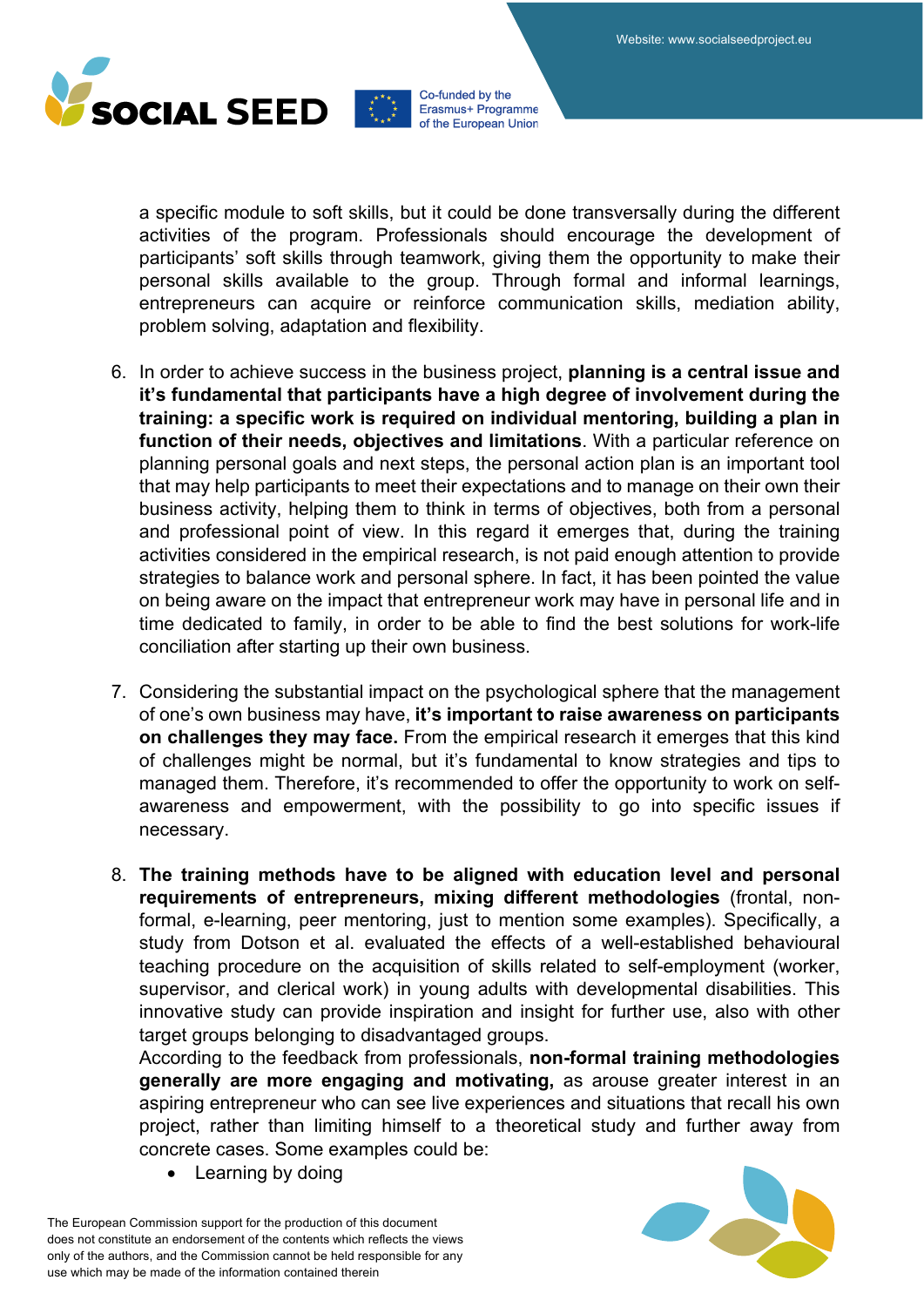

a specific module to soft skills, but it could be done transversally during the different activities of the program. Professionals should encourage the development of participants' soft skills through teamwork, giving them the opportunity to make their personal skills available to the group. Through formal and informal learnings, entrepreneurs can acquire or reinforce communication skills, mediation ability, problem solving, adaptation and flexibility.

- 6. In order to achieve success in the business project, **planning is a central issue and it's fundamental that participants have a high degree of involvement during the training: a specific work is required on individual mentoring, building a plan in function of their needs, objectives and limitations**. With a particular reference on planning personal goals and next steps, the personal action plan is an important tool that may help participants to meet their expectations and to manage on their own their business activity, helping them to think in terms of objectives, both from a personal and professional point of view. In this regard it emerges that, during the training activities considered in the empirical research, is not paid enough attention to provide strategies to balance work and personal sphere. In fact, it has been pointed the value on being aware on the impact that entrepreneur work may have in personal life and in time dedicated to family, in order to be able to find the best solutions for work-life conciliation after starting up their own business.
- 7. Considering the substantial impact on the psychological sphere that the management of one's own business may have, **it's important to raise awareness on participants on challenges they may face.** From the empirical research it emerges that this kind of challenges might be normal, but it's fundamental to know strategies and tips to managed them. Therefore, it's recommended to offer the opportunity to work on selfawareness and empowerment, with the possibility to go into specific issues if necessary.
- 8. **The training methods have to be aligned with education level and personal requirements of entrepreneurs, mixing different methodologies** (frontal, nonformal, e-learning, peer mentoring, just to mention some examples). Specifically, a study from Dotson et al. evaluated the effects of a well-established behavioural teaching procedure on the acquisition of skills related to self-employment (worker, supervisor, and clerical work) in young adults with developmental disabilities. This innovative study can provide inspiration and insight for further use, also with other target groups belonging to disadvantaged groups.

According to the feedback from professionals, **non-formal training methodologies generally are more engaging and motivating,** as arouse greater interest in an aspiring entrepreneur who can see live experiences and situations that recall his own project, rather than limiting himself to a theoretical study and further away from concrete cases. Some examples could be:

Learning by doing

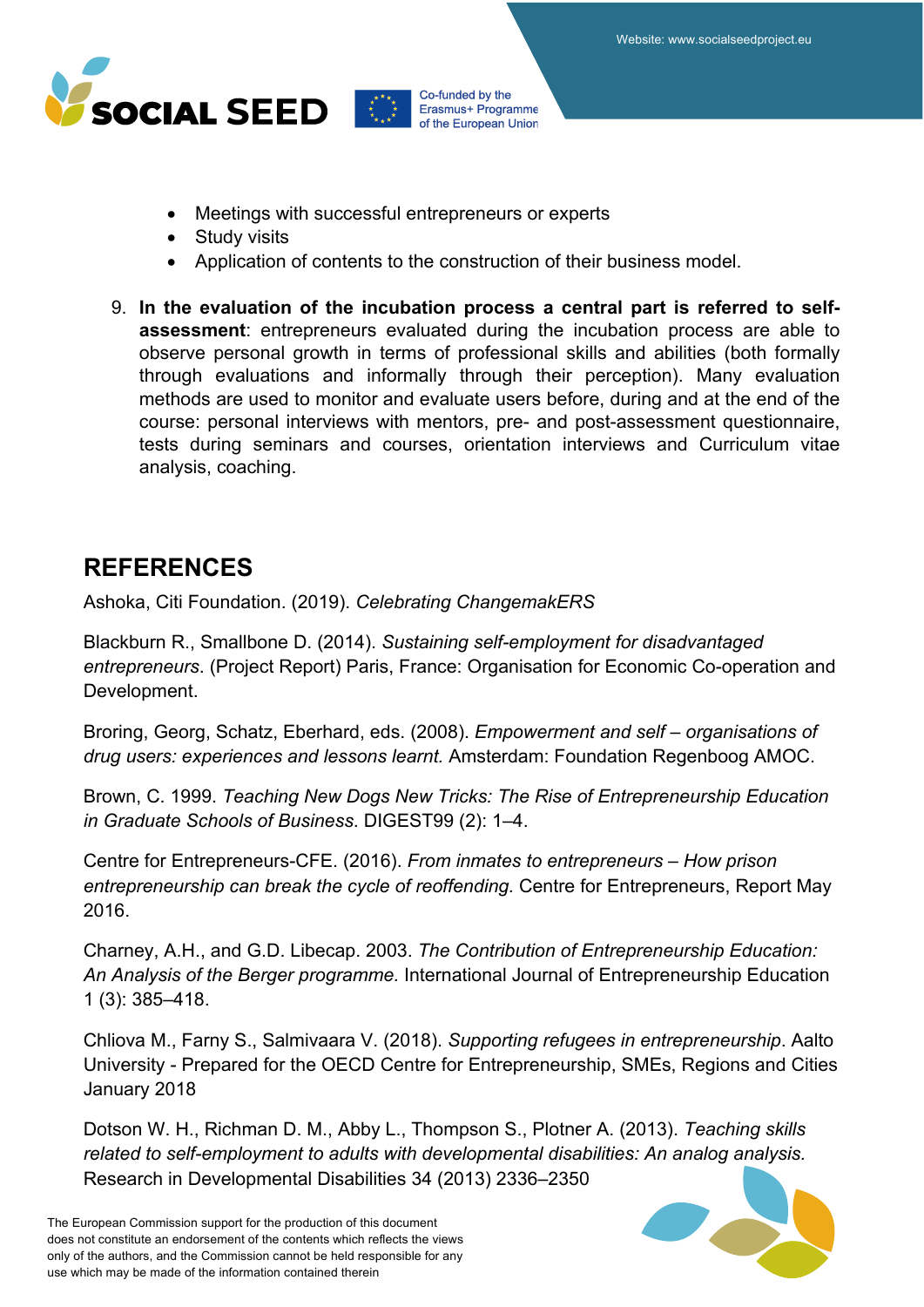

- Meetings with successful entrepreneurs or experts
- Study visits
- Application of contents to the construction of their business model.
- 9. **In the evaluation of the incubation process a central part is referred to selfassessment**: entrepreneurs evaluated during the incubation process are able to observe personal growth in terms of professional skills and abilities (both formally through evaluations and informally through their perception). Many evaluation methods are used to monitor and evaluate users before, during and at the end of the course: personal interviews with mentors, pre- and post-assessment questionnaire, tests during seminars and courses, orientation interviews and Curriculum vitae analysis, coaching.

### **REFERENCES**

Ashoka, Citi Foundation. (2019). *Celebrating ChangemakERS*

Blackburn R., Smallbone D. (2014). *Sustaining self-employment for disadvantaged entrepreneurs*. (Project Report) Paris, France: Organisation for Economic Co-operation and Development.

Broring, Georg, Schatz, Eberhard, eds. (2008). *Empowerment and self – organisations of drug users: experiences and lessons learnt.* Amsterdam: Foundation Regenboog AMOC.

Brown, C. 1999. *Teaching New Dogs New Tricks: The Rise of Entrepreneurship Education in Graduate Schools of Business*. DIGEST99 (2): 1–4.

Centre for Entrepreneurs-CFE. (2016). *From inmates to entrepreneurs – How prison entrepreneurship can break the cycle of reoffending.* Centre for Entrepreneurs, Report May 2016.

Charney, A.H., and G.D. Libecap. 2003. *The Contribution of Entrepreneurship Education: An Analysis of the Berger programme.* International Journal of Entrepreneurship Education 1 (3): 385–418.

Chliova M., Farny S., Salmivaara V. (2018). *Supporting refugees in entrepreneurship*. Aalto University - Prepared for the OECD Centre for Entrepreneurship, SMEs, Regions and Cities January 2018

Dotson W. H., Richman D. M., Abby L., Thompson S., Plotner A. (2013). *Teaching skills related to self-employment to adults with developmental disabilities: An analog analysis.* Research in Developmental Disabilities 34 (2013) 2336–2350

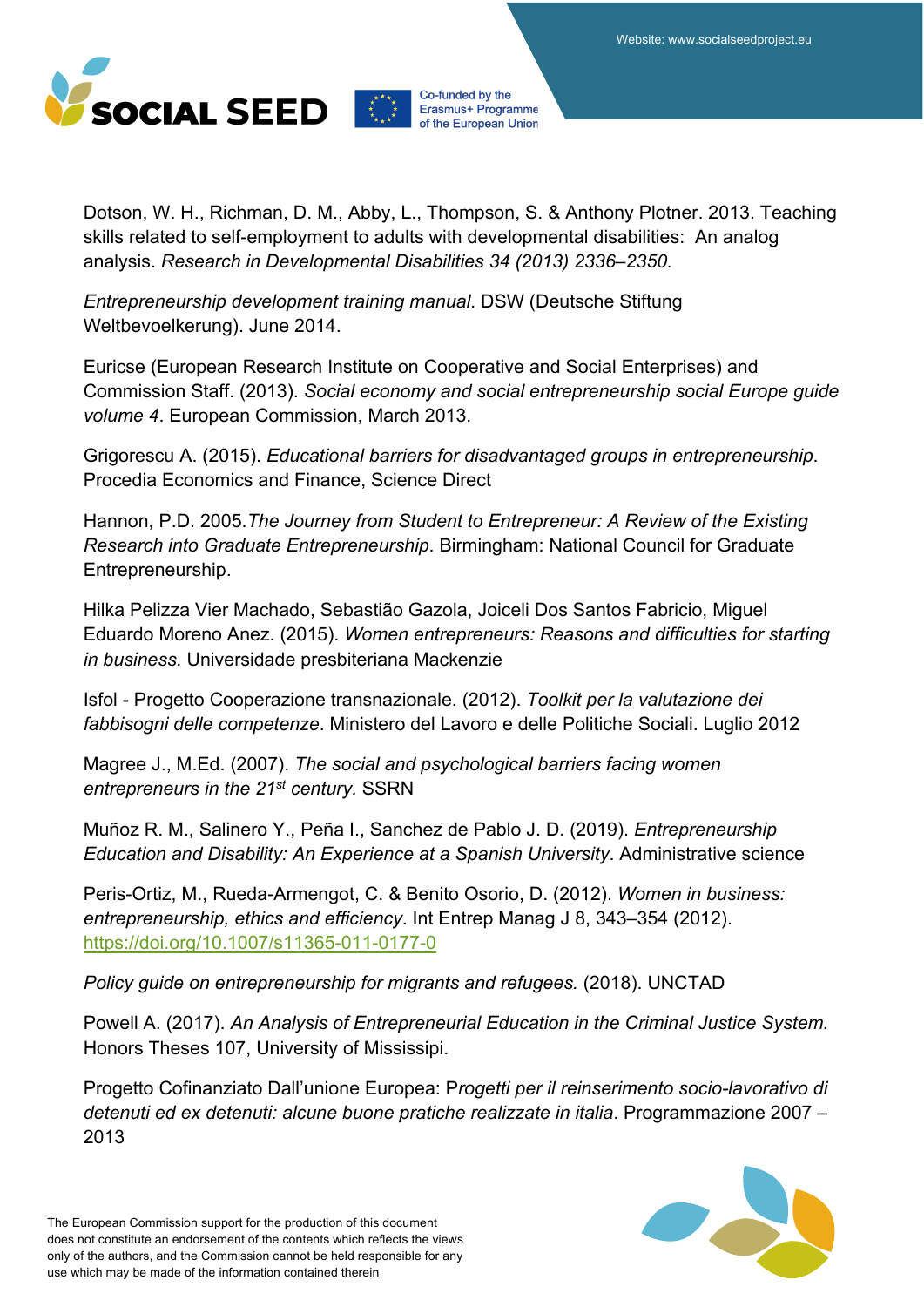

Dotson, W. H., Richman, D. M., Abby, L., Thompson, S. & Anthony Plotner. 2013. Teaching skills related to self-employment to adults with developmental disabilities: An analog analysis. *Research in Developmental Disabilities 34 (2013) 2336–2350.*

*Entrepreneurship development training manual*. DSW (Deutsche Stiftung Weltbevoelkerung). June 2014.

Euricse (European Research Institute on Cooperative and Social Enterprises) and Commission Staff. (2013). *Social economy and social entrepreneurship social Europe guide volume 4*. European Commission, March 2013.

Grigorescu A. (2015). *Educational barriers for disadvantaged groups in entrepreneurship*. Procedia Economics and Finance, Science Direct

Hannon, P.D. 2005.*The Journey from Student to Entrepreneur: A Review of the Existing Research into Graduate Entrepreneurship*. Birmingham: National Council for Graduate Entrepreneurship.

Hilka Pelizza Vier Machado, Sebastião Gazola, Joiceli Dos Santos Fabricio, Miguel Eduardo Moreno Anez. (2015). *Women entrepreneurs: Reasons and difficulties for starting in business.* Universidade presbiteriana Mackenzie

Isfol - Progetto Cooperazione transnazionale. (2012). *Toolkit per la valutazione dei fabbisogni delle competenze*. Ministero del Lavoro e delle Politiche Sociali. Luglio 2012

Magree J., M.Ed. (2007). *The social and psychological barriers facing women entrepreneurs in the 21st century.* SSRN

Muñoz R. M., Salinero Y., Peña I., Sanchez de Pablo J. D. (2019). *Entrepreneurship Education and Disability: An Experience at a Spanish University*. Administrative science

Peris-Ortiz, M., Rueda-Armengot, C. & Benito Osorio, D. (2012). *Women in business: entrepreneurship, ethics and efficiency*. Int Entrep Manag J 8, 343–354 (2012). https://doi.org/10.1007/s11365-011-0177-0

*Policy guide on entrepreneurship for migrants and refugees.* (2018). UNCTAD

Powell A. (2017). *An Analysis of Entrepreneurial Education in the Criminal Justice System.* Honors Theses 107, University of Mississipi.

Progetto Cofinanziato Dall'unione Europea: P*rogetti per il reinserimento socio-lavorativo di detenuti ed ex detenuti: alcune buone pratiche realizzate in italia*. Programmazione 2007 – 2013